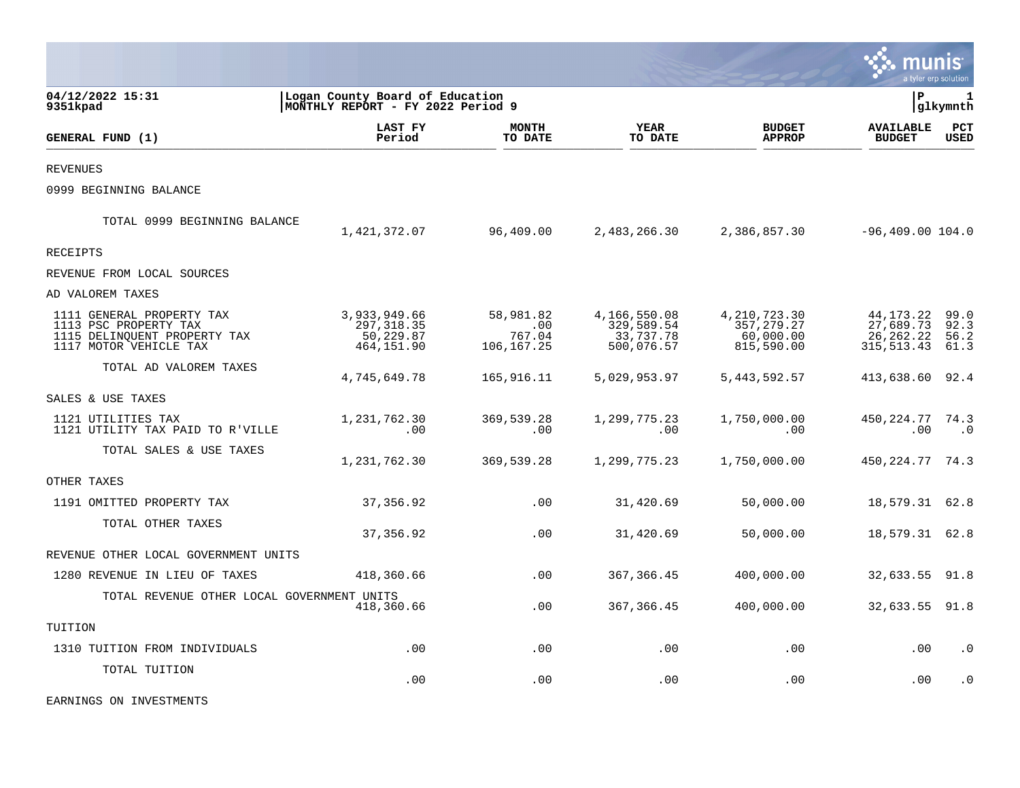|                                                                                                              |                                                                      |                                          |                                                       |                                                           |                                                      | a tyler erp solution         |
|--------------------------------------------------------------------------------------------------------------|----------------------------------------------------------------------|------------------------------------------|-------------------------------------------------------|-----------------------------------------------------------|------------------------------------------------------|------------------------------|
| 04/12/2022 15:31<br>9351kpad                                                                                 | Logan County Board of Education<br>MONTHLY REPORT - FY 2022 Period 9 |                                          |                                                       |                                                           | l P                                                  | 1<br> glkymnth               |
| GENERAL FUND (1)                                                                                             | <b>LAST FY</b><br>Period                                             | <b>MONTH</b><br>TO DATE                  | <b>YEAR</b><br>TO DATE                                | <b>BUDGET</b><br><b>APPROP</b>                            | <b>AVAILABLE</b><br><b>BUDGET</b>                    | PCT<br><b>USED</b>           |
| <b>REVENUES</b>                                                                                              |                                                                      |                                          |                                                       |                                                           |                                                      |                              |
| 0999 BEGINNING BALANCE                                                                                       |                                                                      |                                          |                                                       |                                                           |                                                      |                              |
| TOTAL 0999 BEGINNING BALANCE                                                                                 | 1,421,372.07                                                         | 96,409.00                                | 2,483,266.30                                          | 2,386,857.30                                              | $-96,409.00$ 104.0                                   |                              |
| RECEIPTS                                                                                                     |                                                                      |                                          |                                                       |                                                           |                                                      |                              |
| REVENUE FROM LOCAL SOURCES                                                                                   |                                                                      |                                          |                                                       |                                                           |                                                      |                              |
| AD VALOREM TAXES                                                                                             |                                                                      |                                          |                                                       |                                                           |                                                      |                              |
| 1111 GENERAL PROPERTY TAX<br>1113 PSC PROPERTY TAX<br>1115 DELINQUENT PROPERTY TAX<br>1117 MOTOR VEHICLE TAX | 3,933,949.66<br>297, 318.35<br>50,229.87<br>464,151.90               | 58,981.82<br>.00<br>767.04<br>106,167.25 | 4,166,550.08<br>329,589.54<br>33,737.78<br>500,076.57 | 4, 210, 723.30<br>357, 279. 27<br>60,000.00<br>815,590.00 | 44,173.22<br>27,689.73<br>26, 262. 22<br>315, 513.43 | 99.0<br>92.3<br>56.2<br>61.3 |
| TOTAL AD VALOREM TAXES                                                                                       | 4,745,649.78                                                         | 165,916.11                               | 5,029,953.97                                          | 5, 443, 592.57                                            | 413,638.60 92.4                                      |                              |
| SALES & USE TAXES                                                                                            |                                                                      |                                          |                                                       |                                                           |                                                      |                              |
| 1121 UTILITIES TAX<br>1121 UTILITY TAX PAID TO R'VILLE                                                       | 1,231,762.30<br>.00                                                  | 369,539.28<br>.00                        | 1,299,775.23<br>.00                                   | 1,750,000.00<br>.00                                       | 450,224.77<br>.00                                    | 74.3<br>$\cdot$ 0            |
| TOTAL SALES & USE TAXES                                                                                      | 1,231,762.30                                                         | 369,539.28                               | 1,299,775.23                                          | 1,750,000.00                                              | 450, 224. 77 74. 3                                   |                              |
| OTHER TAXES                                                                                                  |                                                                      |                                          |                                                       |                                                           |                                                      |                              |
| 1191 OMITTED PROPERTY TAX                                                                                    | 37,356.92                                                            | .00                                      | 31,420.69                                             | 50,000.00                                                 | 18,579.31 62.8                                       |                              |
| TOTAL OTHER TAXES                                                                                            | 37, 356.92                                                           | .00                                      | 31,420.69                                             | 50,000.00                                                 | 18,579.31 62.8                                       |                              |
| REVENUE OTHER LOCAL GOVERNMENT UNITS                                                                         |                                                                      |                                          |                                                       |                                                           |                                                      |                              |
| 1280 REVENUE IN LIEU OF TAXES                                                                                | 418,360.66                                                           | .00                                      | 367, 366.45                                           | 400,000.00                                                | 32,633.55                                            | 91.8                         |
| TOTAL REVENUE OTHER LOCAL GOVERNMENT UNITS                                                                   | 418,360.66                                                           | .00                                      | 367, 366.45                                           | 400,000.00                                                | 32,633.55 91.8                                       |                              |
| TUITION                                                                                                      |                                                                      |                                          |                                                       |                                                           |                                                      |                              |
| 1310 TUITION FROM INDIVIDUALS                                                                                | .00                                                                  | .00                                      | .00                                                   | .00                                                       | .00                                                  | $\cdot$ 0                    |
| TOTAL TUITION                                                                                                | .00                                                                  | .00                                      | .00                                                   | .00                                                       | .00                                                  | $\cdot$ 0                    |

EARNINGS ON INVESTMENTS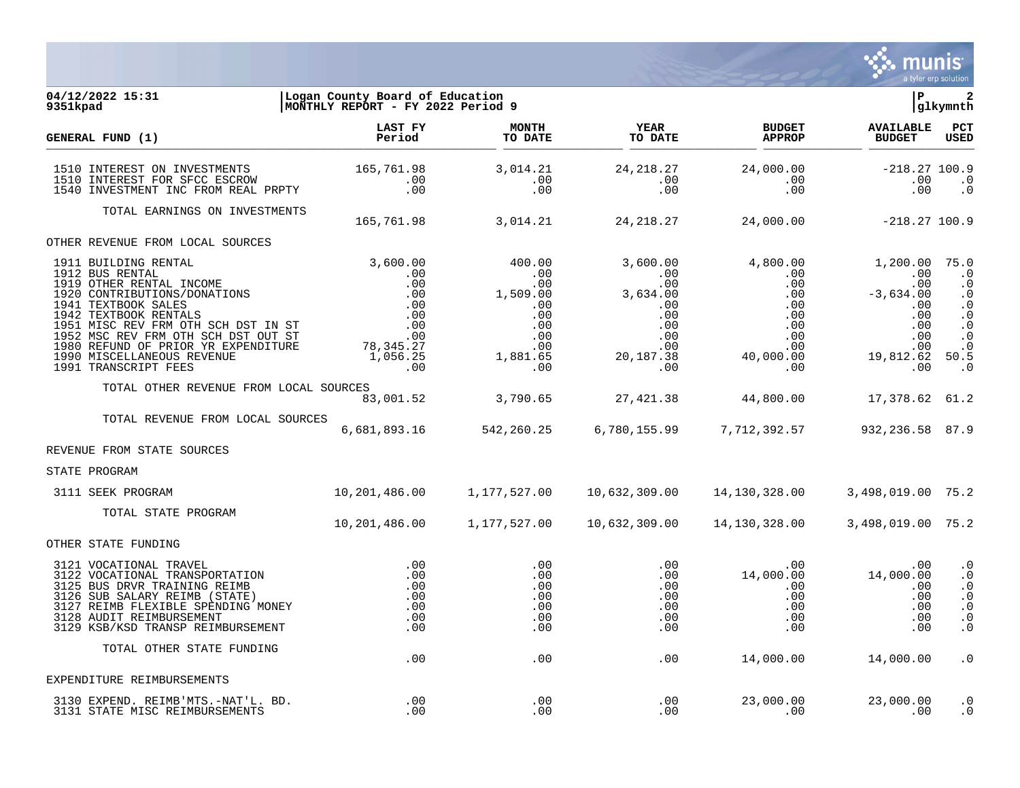

#### **04/12/2022 15:31 |Logan County Board of Education |P 2 9351kpad |MONTHLY REPORT - FY 2022 Period 9 |glkymnth**

| GENERAL FUND (1)                                                                                                                                                                                                                 | LAST FY<br>Period                                       | <b>MONTH</b><br>TO DATE                       | <b>YEAR</b><br>TO DATE    | <b>BUDGET</b><br><b>APPROP</b>                                                                                                                                                                                                                                          | <b>AVAILABLE</b><br><b>BUDGET</b> | PCT<br><b>USED</b>                                                                      |
|----------------------------------------------------------------------------------------------------------------------------------------------------------------------------------------------------------------------------------|---------------------------------------------------------|-----------------------------------------------|---------------------------|-------------------------------------------------------------------------------------------------------------------------------------------------------------------------------------------------------------------------------------------------------------------------|-----------------------------------|-----------------------------------------------------------------------------------------|
| 1510 INTEREST ON INVESTMENTS<br>1510 INTEREST FOR SFCC ESCROW<br>1540 INVESTMENT INC FROM REAL PRPTY                                                                                                                             | 165,761.98<br>$\begin{array}{c} .00 \\ .00 \end{array}$ | 3,014.21<br>$\cdot\,00$<br>.00                | 24, 218. 27<br>.00<br>.00 | 24,000.00<br>.00<br>.00                                                                                                                                                                                                                                                 | $-218.27$ 100.9<br>.00<br>.00     | $\cdot$ 0<br>$\cdot$ 0                                                                  |
| TOTAL EARNINGS ON INVESTMENTS                                                                                                                                                                                                    |                                                         | 165,761.98 3,014.21                           |                           | $24,218.27$ $24,000.00$ $-218.27 100.9$                                                                                                                                                                                                                                 |                                   |                                                                                         |
| OTHER REVENUE FROM LOCAL SOURCES                                                                                                                                                                                                 |                                                         |                                               |                           |                                                                                                                                                                                                                                                                         |                                   |                                                                                         |
|                                                                                                                                                                                                                                  |                                                         |                                               |                           |                                                                                                                                                                                                                                                                         |                                   |                                                                                         |
| TOTAL OTHER REVENUE FROM LOCAL SOURCES                                                                                                                                                                                           |                                                         |                                               |                           | .s<br>83,001.52      3,790.65     27,421.38     44,800.00     17,378.62 61.2                                                                                                                                                                                            |                                   |                                                                                         |
| TOTAL REVENUE FROM LOCAL SOURCES                                                                                                                                                                                                 |                                                         |                                               |                           | 6,681,893.16 542,260.25 6,780,155.99 7,712,392.57                                                                                                                                                                                                                       | 932,236.58 87.9                   |                                                                                         |
| REVENUE FROM STATE SOURCES                                                                                                                                                                                                       |                                                         |                                               |                           |                                                                                                                                                                                                                                                                         |                                   |                                                                                         |
| STATE PROGRAM                                                                                                                                                                                                                    |                                                         |                                               |                           |                                                                                                                                                                                                                                                                         |                                   |                                                                                         |
| 3111 SEEK PROGRAM                                                                                                                                                                                                                |                                                         |                                               |                           | $10, 201, 486.00$ $1, 177, 527.00$ $10, 632, 309.00$ $14, 130, 328.00$ $3, 498, 019.00$ $75.2$                                                                                                                                                                          |                                   |                                                                                         |
| TOTAL STATE PROGRAM                                                                                                                                                                                                              | 10,201,486.00                                           | 1,177,527.00                                  | 10,632,309.00             | 14,130,328.00                                                                                                                                                                                                                                                           | 3,498,019.00 75.2                 |                                                                                         |
| OTHER STATE FUNDING                                                                                                                                                                                                              |                                                         |                                               |                           |                                                                                                                                                                                                                                                                         |                                   |                                                                                         |
| 3121 VOCATIONAL TRAVEL<br>3122 VOCATIONAL TRANSPORTATION<br>3125 BUS DRVR TRAINING REIMB<br>3126 SUB SALARY REIMB (STATE)<br>3127 REIMB FLEXIBLE SPENDING MONEY<br>3128 AUDIT REIMBURSEMENT<br>3129 KSB/KSD TRANSP REIMBURSEMENT | .00<br>.00<br>.00<br>.00                                | .00<br>.00<br>.00<br>.00<br>.00<br>.00<br>.00 | .00                       | $\begin{array}{cccc} . & 00 & & & 00 & & & 00 \ . & 00 & & & 14 \ , 000 \ . & 00 & & & 14 \ , & 000 \ . & 00 & & & 00 \ . & 00 & & & 00 \ . & 00 & & & 00 \ . & 00 & & & 00 \ . & 00 & & & 00 \ . & 00 & & & 00 \ . & 00 & & & 00 \ . & 00 & & & 00 \end{array}$<br>.00 | .00                               | $\cdot$ 0<br>$\cdot$ 0<br>$\cdot$ 0<br>$\cdot$ 0<br>$\cdot$ 0<br>$\cdot$ 0<br>$\cdot$ 0 |
| TOTAL OTHER STATE FUNDING                                                                                                                                                                                                        | .00                                                     | .00                                           | .00                       |                                                                                                                                                                                                                                                                         | 14,000.00    14,000.00            | $\cdot$ 0                                                                               |
| EXPENDITURE REIMBURSEMENTS                                                                                                                                                                                                       |                                                         |                                               |                           |                                                                                                                                                                                                                                                                         |                                   |                                                                                         |
| 3130 EXPEND. REIMB'MTS.-NAT'L. BD.<br>3131 STATE MISC REIMBURSEMENTS                                                                                                                                                             | .00<br>.00.                                             | .00<br>.00                                    | .00<br>.00                | 23,000.00<br>.00                                                                                                                                                                                                                                                        | 23,000.00<br>$\sim$ 00            | $\cdot$ 0<br>$\cdot$ 0                                                                  |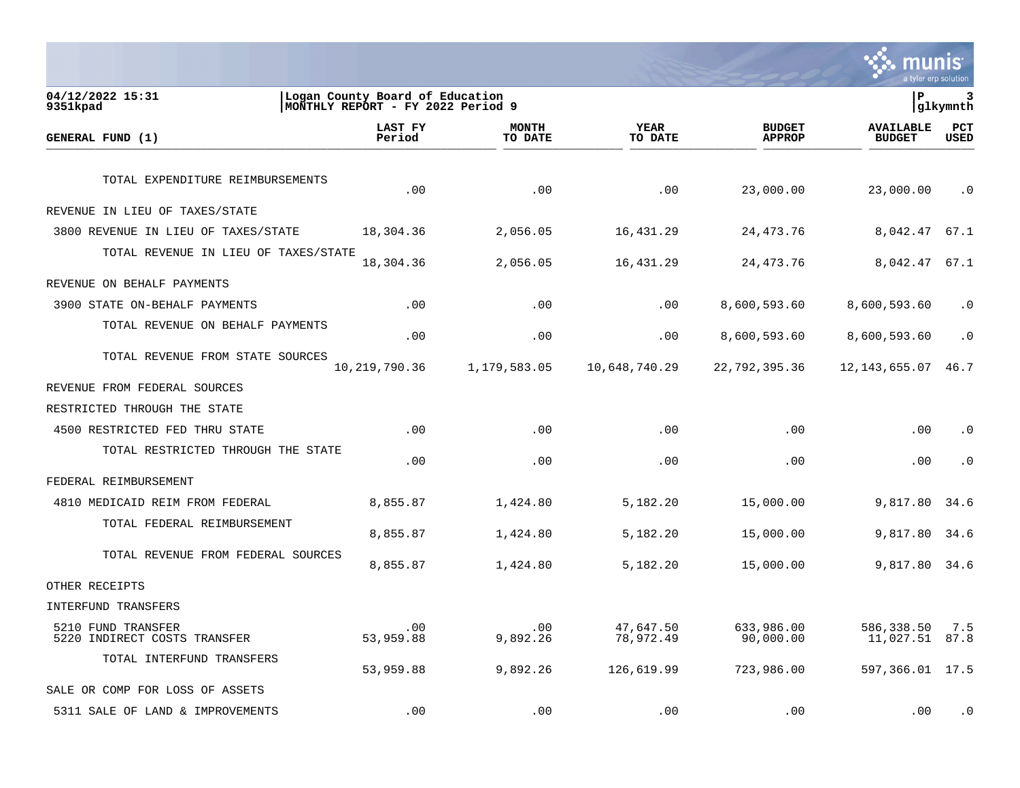**SAS MUNIS** 

| 04/12/2022 15:31<br>9351kpad                       | Logan County Board of Education<br> MONTHLY REPORT - FY 2022 Period 9 |                         |                        |                                | lР                                | 3<br> glkymnth     |
|----------------------------------------------------|-----------------------------------------------------------------------|-------------------------|------------------------|--------------------------------|-----------------------------------|--------------------|
| GENERAL FUND (1)                                   | <b>LAST FY</b><br>Period                                              | <b>MONTH</b><br>TO DATE | YEAR<br>TO DATE        | <b>BUDGET</b><br><b>APPROP</b> | <b>AVAILABLE</b><br><b>BUDGET</b> | PCT<br><b>USED</b> |
| TOTAL EXPENDITURE REIMBURSEMENTS                   | .00                                                                   | .00                     | .00                    | 23,000.00                      | 23,000.00                         | $\cdot$ 0          |
| REVENUE IN LIEU OF TAXES/STATE                     |                                                                       |                         |                        |                                |                                   |                    |
| 3800 REVENUE IN LIEU OF TAXES/STATE                | 18,304.36                                                             | 2,056.05                | 16,431.29              | 24, 473. 76                    | 8,042.47                          | 67.1               |
| TOTAL REVENUE IN LIEU OF TAXES/STATE               | 18,304.36                                                             | 2,056.05                | 16,431.29              | 24, 473. 76                    | 8,042.47                          | 67.1               |
| REVENUE ON BEHALF PAYMENTS                         |                                                                       |                         |                        |                                |                                   |                    |
| 3900 STATE ON-BEHALF PAYMENTS                      | .00                                                                   | .00                     | .00                    | 8,600,593.60                   | 8,600,593.60                      | $\cdot$ 0          |
| TOTAL REVENUE ON BEHALF PAYMENTS                   | .00                                                                   | .00                     | .00                    | 8,600,593.60                   | 8,600,593.60                      | $\cdot$ 0          |
| TOTAL REVENUE FROM STATE SOURCES                   | 10,219,790.36                                                         | 1,179,583.05            | 10,648,740.29          | 22,792,395.36                  | 12, 143, 655.07                   | 46.7               |
| REVENUE FROM FEDERAL SOURCES                       |                                                                       |                         |                        |                                |                                   |                    |
| RESTRICTED THROUGH THE STATE                       |                                                                       |                         |                        |                                |                                   |                    |
| 4500 RESTRICTED FED THRU STATE                     | .00                                                                   | .00                     | .00                    | .00                            | .00                               | $\cdot$ 0          |
| TOTAL RESTRICTED THROUGH THE STATE                 | .00                                                                   | .00                     | .00                    | .00                            | .00                               | $\cdot$ 0          |
| FEDERAL REIMBURSEMENT                              |                                                                       |                         |                        |                                |                                   |                    |
| 4810 MEDICAID REIM FROM FEDERAL                    | 8,855.87                                                              | 1,424.80                | 5,182.20               | 15,000.00                      | 9,817.80                          | 34.6               |
| TOTAL FEDERAL REIMBURSEMENT                        | 8,855.87                                                              | 1,424.80                | 5,182.20               | 15,000.00                      | 9,817.80                          | 34.6               |
| TOTAL REVENUE FROM FEDERAL SOURCES                 | 8,855.87                                                              | 1,424.80                | 5,182.20               | 15,000.00                      | 9,817.80                          | 34.6               |
| OTHER RECEIPTS                                     |                                                                       |                         |                        |                                |                                   |                    |
| INTERFUND TRANSFERS                                |                                                                       |                         |                        |                                |                                   |                    |
| 5210 FUND TRANSFER<br>5220 INDIRECT COSTS TRANSFER | .00<br>53,959.88                                                      | .00<br>9,892.26         | 47,647.50<br>78,972.49 | 633,986.00<br>90,000.00        | 586,338.50<br>11,027.51           | 7.5<br>87.8        |
| TOTAL INTERFUND TRANSFERS                          | 53,959.88                                                             | 9,892.26                | 126,619.99             | 723,986.00                     | 597,366.01 17.5                   |                    |
| SALE OR COMP FOR LOSS OF ASSETS                    |                                                                       |                         |                        |                                |                                   |                    |
| 5311 SALE OF LAND & IMPROVEMENTS                   | .00                                                                   | .00                     | .00                    | .00                            | .00                               | . 0                |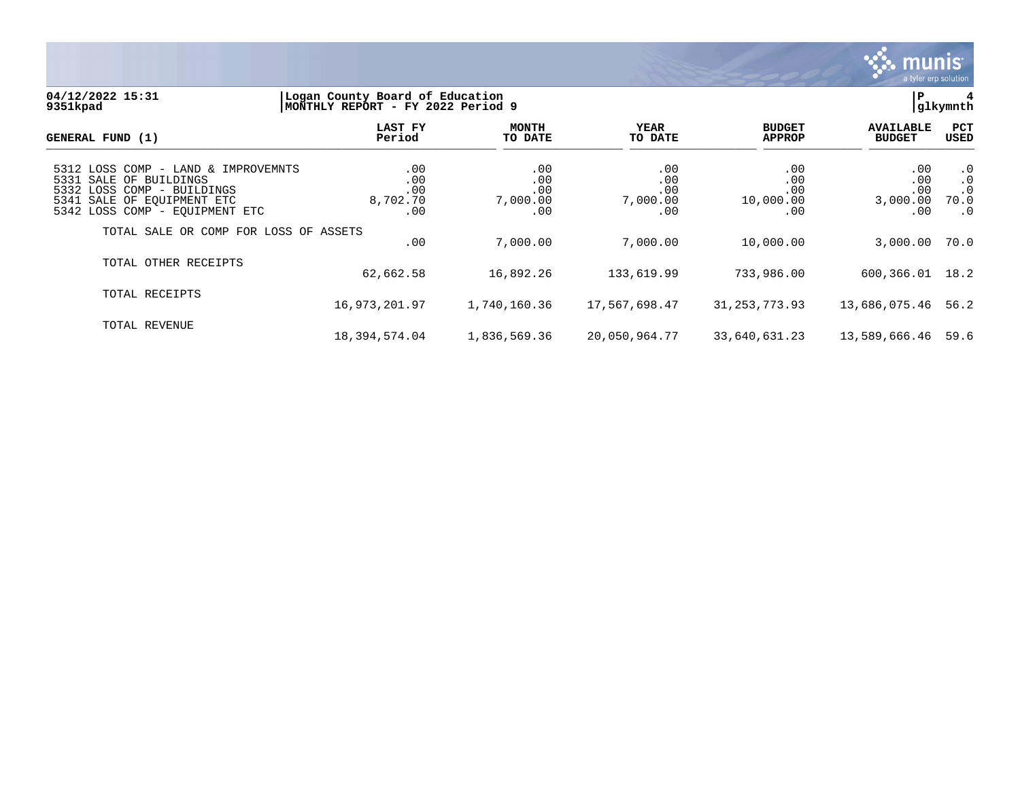

#### **04/12/2022 15:31 |Logan County Board of Education |P 4 9351kpad |MONTHLY REPORT - FY 2022 Period 9 |glkymnth**

| GENERAL FUND (1)                                                                                                                                            | LAST FY<br>Period                    | <b>MONTH</b><br>TO DATE              | YEAR<br>TO DATE                      | <b>BUDGET</b><br><b>APPROP</b>        | <b>AVAILABLE</b><br><b>BUDGET</b>              | <b>PCT</b><br>USED                                       |
|-------------------------------------------------------------------------------------------------------------------------------------------------------------|--------------------------------------|--------------------------------------|--------------------------------------|---------------------------------------|------------------------------------------------|----------------------------------------------------------|
| 5312 LOSS COMP - LAND & IMPROVEMNTS<br>5331 SALE OF BUILDINGS<br>5332 LOSS COMP - BUILDINGS<br>5341 SALE OF EOUIPMENT ETC<br>5342 LOSS COMP - EQUIPMENT ETC | .00<br>.00<br>.00<br>8,702.70<br>.00 | .00<br>.00<br>.00<br>7,000.00<br>.00 | .00<br>.00<br>.00<br>7,000.00<br>.00 | .00<br>.00<br>.00<br>10,000.00<br>.00 | $.00 \,$<br>.00<br>.00<br>3,000.00<br>$.00 \,$ | $\cdot$ 0<br>$\cdot$ 0<br>$\cdot$ 0<br>70.0<br>$\cdot$ 0 |
| TOTAL SALE OR COMP FOR LOSS OF ASSETS                                                                                                                       | .00                                  | 7,000.00                             | 7,000.00                             | 10,000.00                             | 3,000.00                                       | 70.0                                                     |
| TOTAL OTHER RECEIPTS                                                                                                                                        | 62,662.58                            | 16,892.26                            | 133,619.99                           | 733,986.00                            | 600, 366.01 18.2                               |                                                          |
| TOTAL RECEIPTS                                                                                                                                              | 16,973,201.97                        | 1,740,160.36                         | 17,567,698.47                        | 31, 253, 773.93                       | 13,686,075.46                                  | 56.2                                                     |
| TOTAL REVENUE                                                                                                                                               | 18,394,574.04                        | 1,836,569.36                         | 20,050,964.77                        | 33,640,631.23                         | 13,589,666.46 59.6                             |                                                          |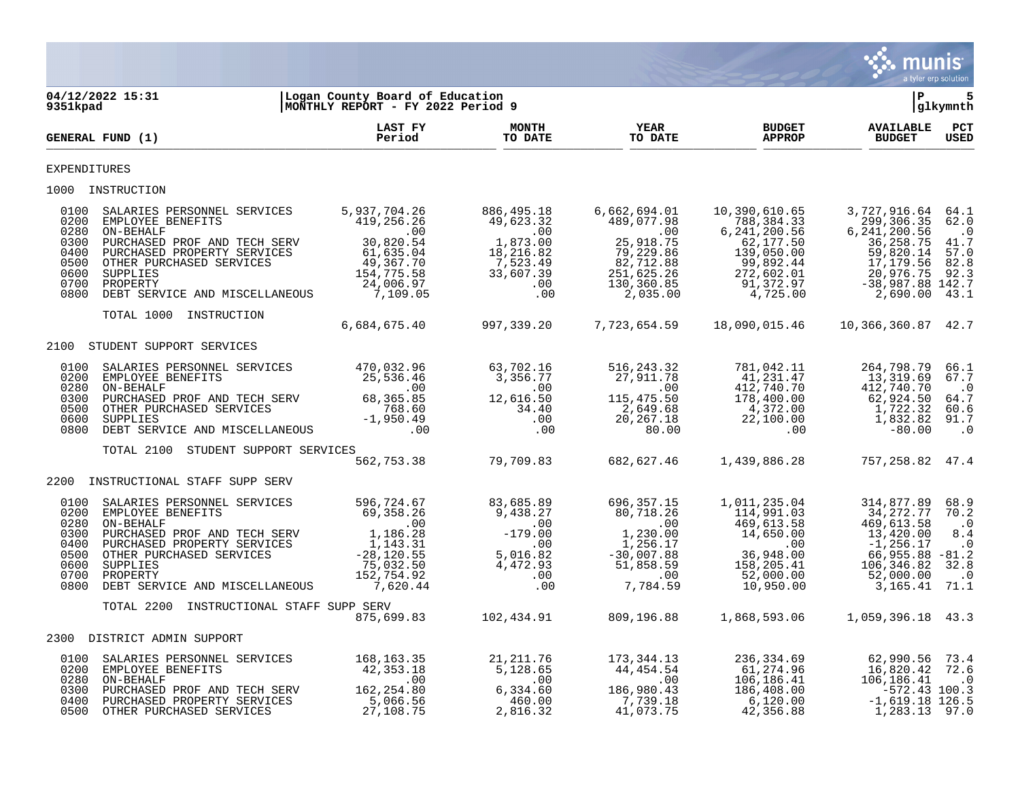

| 9351kpad                                                     | 04/12/2022 15:31                                                                                                                                                                                                                                                                                                                                                                                | Logan County Board of Education<br>MONTHLY REPORT - FY 2022 Period 9 |                                                                                                                                                       |                                                                                                                                                          |                                                                                                                                | l P                                                                                                                                      | 5<br> glkymnth                                                             |
|--------------------------------------------------------------|-------------------------------------------------------------------------------------------------------------------------------------------------------------------------------------------------------------------------------------------------------------------------------------------------------------------------------------------------------------------------------------------------|----------------------------------------------------------------------|-------------------------------------------------------------------------------------------------------------------------------------------------------|----------------------------------------------------------------------------------------------------------------------------------------------------------|--------------------------------------------------------------------------------------------------------------------------------|------------------------------------------------------------------------------------------------------------------------------------------|----------------------------------------------------------------------------|
|                                                              | GENERAL FUND (1)                                                                                                                                                                                                                                                                                                                                                                                | <b>LAST FY</b><br>Period                                             | <b>MONTH</b><br>TO DATE                                                                                                                               | <b>YEAR</b><br>TO DATE                                                                                                                                   | <b>BUDGET</b><br><b>APPROP</b>                                                                                                 | <b>AVAILABLE</b><br><b>BUDGET</b>                                                                                                        | $_{\rm PCT}$<br><b>USED</b>                                                |
| <b>EXPENDITURES</b>                                          |                                                                                                                                                                                                                                                                                                                                                                                                 |                                                                      |                                                                                                                                                       |                                                                                                                                                          |                                                                                                                                |                                                                                                                                          |                                                                            |
|                                                              | 1000 INSTRUCTION                                                                                                                                                                                                                                                                                                                                                                                |                                                                      |                                                                                                                                                       |                                                                                                                                                          |                                                                                                                                |                                                                                                                                          |                                                                            |
| 0100<br>0200<br>0800                                         | SALARIES PERSONNEL SERVICES<br>EMPLOYEE BENEFITS<br>$\begin{tabular}{lllllllllllllllllllll} 0.280 & ON-BEHALF & .127,230120 & 0.00 & 0.00 & 0.00 & 0.00 & 0.00 & 0.00 & 0.00 & 0.00 & 0.00 & 0.00 & 0.00 & 0.00 & 0.00 & 0.00 & 0.00 & 0.00 & 0.00 & 0.00 & 0.00 & 0.00 & 0.00 & 0.00 & 0.00 & 0.00 & 0.00 & 0.00 & 0.00 & 0.00 & 0.00 & 0.$<br>0700 PROPERTY<br>DEBT SERVICE AND MISCELLANEOUS | 5,937,704.26<br>419,256.26<br>24,006.97<br>7,109.05                  | 886,495.18<br>49,623.32<br>$1,873.00$<br>1,873.00<br>18.216.00<br>7,523.49<br>33,607.39<br>.00<br>.00                                                 | 6,662,694.01<br>489,077.98<br>$\overline{\phantom{0}}$ .00<br>25,918.75<br>79,229.86<br>82,712.88<br>251,625.26<br>$130, 360.85$<br>2,035.00<br>2,035.00 | 10,390,610.65<br>788,384.33<br>6, 241, 200.56<br>62,177.50<br>139,050.00<br>99,892.44<br>272,602.01<br>91,372.97<br>4,725.00   | 3,727,916.64 64.1<br>299,306.35<br>6, 241, 200.56<br>36, 258.75<br>59,820.14<br>17,179.56<br>20,976.75<br>$-38,987.88$ 142.7<br>2,690.00 | 62.0<br>$\cdot$ 0<br>41.7<br>57.0<br>82.8<br>92.3<br>43.1                  |
|                                                              | TOTAL 1000 INSTRUCTION                                                                                                                                                                                                                                                                                                                                                                          |                                                                      |                                                                                                                                                       |                                                                                                                                                          |                                                                                                                                |                                                                                                                                          |                                                                            |
|                                                              |                                                                                                                                                                                                                                                                                                                                                                                                 | 6,684,675.40                                                         | 997, 339. 20                                                                                                                                          | 7,723,654.59                                                                                                                                             | 18,090,015.46                                                                                                                  | 10,366,360.87 42.7                                                                                                                       |                                                                            |
|                                                              | 2100 STUDENT SUPPORT SERVICES                                                                                                                                                                                                                                                                                                                                                                   |                                                                      |                                                                                                                                                       |                                                                                                                                                          |                                                                                                                                |                                                                                                                                          |                                                                            |
| 0100<br>0200<br>0280<br>0300<br>0500<br>0600<br>0800         | SALARIES PERSONNEL SERVICES 470,032.96<br>EMPLOYEE BENEFITS 25,536.46                                                                                                                                                                                                                                                                                                                           |                                                                      | 63,702.16<br>3,356.77<br>3,356.77<br>00.<br>12,616.50<br>34.40<br>34.40<br>00.00                                                                      | 516,243.32<br>$\begin{array}{cc} & & 115,475.56 \\ & & 2,649.68 \\ & & 2,649.68 \\ & & 20,267.18 \\ & & 80.0 \end{array}$<br>20,267.18<br>80.00          | 781,042.11<br>41,231.47<br>412,740.70<br>$178,400.00$<br>$4,372.00$<br>$22,100.00$<br>22,100.00                                | 264,798.79<br>13,319.69<br>412,740.70<br>62,924.50<br>1,722.32<br>1,832.82<br>$-80.00$                                                   | 66.1<br>67.7<br>$\cdot$ 0<br>64.7<br>60.6<br>91.7<br>$\cdot$ 0             |
|                                                              | STUDENT SUPPORT SERVICES<br>TOTAL 2100                                                                                                                                                                                                                                                                                                                                                          |                                                                      |                                                                                                                                                       |                                                                                                                                                          |                                                                                                                                |                                                                                                                                          |                                                                            |
|                                                              |                                                                                                                                                                                                                                                                                                                                                                                                 |                                                                      | 562,753.38 79,709.83                                                                                                                                  | 682,627.46                                                                                                                                               | 1,439,886.28                                                                                                                   | 757,258.82 47.4                                                                                                                          |                                                                            |
|                                                              | 2200 INSTRUCTIONAL STAFF SUPP SERV                                                                                                                                                                                                                                                                                                                                                              |                                                                      |                                                                                                                                                       |                                                                                                                                                          |                                                                                                                                |                                                                                                                                          |                                                                            |
| 0100<br>0200<br>0280<br>0300<br>0400<br>0600<br>0700<br>0800 | SALARIES PERSONNEL SERVICES<br>EMPLOYEE BENEFITS<br>ON-BEHALF 100<br>PURCHASED PROF AND TECH SERV 1,186.28<br>PURCHASED PROPERTY SERVICES 1,143.31<br>0500 OTHER PURCHASED SERVICES<br>SUPPLIES<br>PROPERTY<br>DEBT SERVICE AND MISCELLANEOUS                                                                                                                                                   | 596,724.67<br>69,358.26<br>$-28,120.55$<br>75.022                    | 83,685.89<br>596, 724. 67<br>69, 358. 26<br>.00<br>1, 186. 28<br>.143. 31<br>-28, 120. 55<br>.75, 032. 50<br>152, 754. 92<br>.00<br>7, 620. 44<br>.00 | 696,357.15<br>80,718.26<br>$\sim$ 00<br>1,230.00<br>1,256.17<br>$-30,007.88$<br>59.500, 1-<br>00.<br>7.784.7<br>7,784.59                                 | 1,011,235.04<br>114,991.03<br>469,613.58<br>14,650.00<br>.00<br>36,948.00<br>36,948.00<br>158,205.41<br>52,000.00<br>10,950.00 | 314,877.89<br>34,272.77<br>469,613.58<br>13,420.00<br>$-1, 256.17$<br>$66,955.88 - 81.2$<br>106,346.82<br>52,000.00<br>3,165.41          | 68.9<br>70.2<br>$\cdot$ 0<br>8.4<br>$\cdot$ 0<br>32.8<br>$\cdot$ 0<br>71.1 |
|                                                              | TOTAL 2200 INSTRUCTIONAL STAFF SUPP SERV                                                                                                                                                                                                                                                                                                                                                        |                                                                      |                                                                                                                                                       |                                                                                                                                                          |                                                                                                                                |                                                                                                                                          |                                                                            |
|                                                              | 2300 DISTRICT ADMIN SUPPORT                                                                                                                                                                                                                                                                                                                                                                     | 875,699.83                                                           | 102,434.91                                                                                                                                            |                                                                                                                                                          | 809,196.88 1,868,593.06                                                                                                        | 1,059,396.18 43.3                                                                                                                        |                                                                            |
|                                                              |                                                                                                                                                                                                                                                                                                                                                                                                 |                                                                      |                                                                                                                                                       |                                                                                                                                                          |                                                                                                                                |                                                                                                                                          |                                                                            |
| 0100<br>0200<br>0280<br>0400                                 | SALARIES PERSONNEL SERVICES 168,163.35<br>EMPLOYEE BENEFITS 42,353.18<br>ON-REHALE<br>ON-BEHALF<br>0300 PURCHASED PROF AND TECH SERV<br>PURCHASED PROPERTY SERVICES<br>0500 OTHER PURCHASED SERVICES                                                                                                                                                                                            | 42,353.18<br>00.<br>162,254.80<br>5,066.56<br>27,108.75              | 21, 211.76<br>5,128.65<br>.00<br>6,334.60<br>460.00<br>2,816.32                                                                                       | 173,344.13<br>44,454.54<br>$\sim$ 00<br>186,980.43<br>7,739.18<br>41,073.75                                                                              | 236,334.69<br>61,274.96<br>106,186.41<br>186,408.00<br>6,120.00<br>42,356.88                                                   | 62,990.56 73.4<br>16,820.42<br>106,186.41<br>-572.43 100.3<br>$-1,619.18$ 126.5<br>1,283.13 97.0                                         | 72.6<br>$\cdot$ 0                                                          |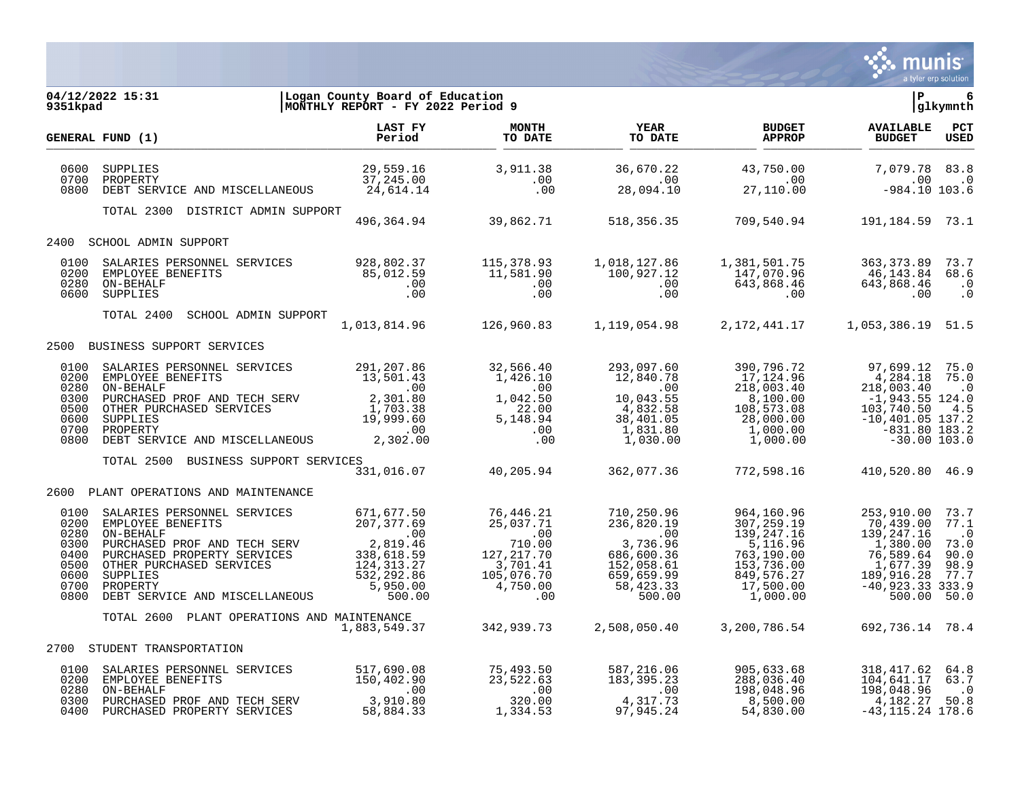

| 9351kpad                                                             | Logan County Board of Education  <br> MONTHLY REPORT - FY 2022 Period 9<br>04/12/2022 15:31                                                                                                                                                                                                                                                              |  |                                                    |                                                                                                                                                                                                                                                                                                                                            | a tyler erp solution<br>l P                          | glkymnth                                                  |
|----------------------------------------------------------------------|----------------------------------------------------------------------------------------------------------------------------------------------------------------------------------------------------------------------------------------------------------------------------------------------------------------------------------------------------------|--|----------------------------------------------------|--------------------------------------------------------------------------------------------------------------------------------------------------------------------------------------------------------------------------------------------------------------------------------------------------------------------------------------------|------------------------------------------------------|-----------------------------------------------------------|
|                                                                      |                                                                                                                                                                                                                                                                                                                                                          |  |                                                    |                                                                                                                                                                                                                                                                                                                                            |                                                      |                                                           |
|                                                                      | GENERAL FUND (1)                                                                                                                                                                                                                                                                                                                                         |  | <b>YEAR<br/>TO DATE</b><br><b>YEAR<br/>TO DATE</b> | <b>BUDGET</b><br><b>APPROP</b>                                                                                                                                                                                                                                                                                                             | AVAILABLE PCT<br><b>BUDGET</b>                       | <b>USED</b>                                               |
| 0600<br>0700<br>0800                                                 |                                                                                                                                                                                                                                                                                                                                                          |  |                                                    |                                                                                                                                                                                                                                                                                                                                            |                                                      |                                                           |
|                                                                      | TOTAL 2300 DISTRICT ADMIN SUPPORT                                                                                                                                                                                                                                                                                                                        |  |                                                    | 496,364.94 39,862.71 518,356.35 709,540.94 191,184.59 73.1                                                                                                                                                                                                                                                                                 |                                                      |                                                           |
|                                                                      | 2400 SCHOOL ADMIN SUPPORT                                                                                                                                                                                                                                                                                                                                |  |                                                    |                                                                                                                                                                                                                                                                                                                                            |                                                      |                                                           |
| 0100<br>0200<br>0280<br>0600                                         | SALARIES PERSONNEL SERVICES 928,802.37 115,378.93 1,018,127.86 1,381,501.75 363,373.89<br>EMPLOYEE BENEFITS 85,012.59 11,581.90 100,927.12 147,070.96 46,143.84<br>ON-BEHALF 100,927.12 100,927.12 147,070.96 46,143.84<br>ON-BEHALF 10<br>SUPPLIES                                                                                                      |  |                                                    |                                                                                                                                                                                                                                                                                                                                            |                                                      | 73.7<br>68.6<br>$\cdot$ 0<br>$\cdot$ 0                    |
|                                                                      | TOTAL 2400<br>SCHOOL ADMIN SUPPORT                                                                                                                                                                                                                                                                                                                       |  |                                                    | $1,013,814.96$ $126,960.83$ $1,119,054.98$ $2,172,441.17$ $1,053,386.19$ 51.5                                                                                                                                                                                                                                                              |                                                      |                                                           |
|                                                                      | 2500 BUSINESS SUPPORT SERVICES                                                                                                                                                                                                                                                                                                                           |  |                                                    |                                                                                                                                                                                                                                                                                                                                            |                                                      |                                                           |
| 0100<br>0200<br>0280<br>0300<br>0500<br>0600<br>0700<br>0800         |                                                                                                                                                                                                                                                                                                                                                          |  |                                                    |                                                                                                                                                                                                                                                                                                                                            |                                                      |                                                           |
|                                                                      | TOTAL 2500 BUSINESS SUPPORT SERVICES                                                                                                                                                                                                                                                                                                                     |  |                                                    | $\overline{3}31,016.07$ 40,205.94 362,077.36 772,598.16 410,520.80 46.9                                                                                                                                                                                                                                                                    |                                                      |                                                           |
|                                                                      | 2600 PLANT OPERATIONS AND MAINTENANCE                                                                                                                                                                                                                                                                                                                    |  |                                                    |                                                                                                                                                                                                                                                                                                                                            |                                                      |                                                           |
| 0100<br>0200<br>0280<br>0300<br>0400<br>0500<br>0600<br>0700<br>0800 | $\begin{tabular}{l c c c c c} \texttt{SALARIES} & \texttt{BERSONREL} & \texttt{SERVICES} & \texttt{571,677.50} & \texttt{76,446.21} & \texttt{710,250.96} & \texttt{964,160.96} & \texttt{253,910.00} \\ \texttt{EMPDVEE} & \texttt{EBRNEFITS} & \texttt{207,377.69} & \texttt{25,037.71} & \texttt{236,820.19} & \texttt{307,259.19} & \texttt{70,439.$ |  |                                                    |                                                                                                                                                                                                                                                                                                                                            | 253,910.00 73.7<br>$-40,923.33333.9$                 | 77.1<br>$\cdot$ 0<br>73.0<br>90.0<br>98.9<br>77.7<br>50.0 |
|                                                                      | TOTAL 2600<br>PLANT OPERATIONS AND MAINTENANCE                                                                                                                                                                                                                                                                                                           |  |                                                    | 1,883,549.37 342,939.73 2,508,050.40 3,200,786.54                                                                                                                                                                                                                                                                                          | 692,736.14 78.4                                      |                                                           |
|                                                                      | 2700 STUDENT TRANSPORTATION                                                                                                                                                                                                                                                                                                                              |  |                                                    |                                                                                                                                                                                                                                                                                                                                            |                                                      |                                                           |
| 0100<br>0200                                                         | SALARIES PERSONNEL SERVICES 517,690.08<br>EMPLOYEE BENEFITS 150,402.90<br>ON PEUALE<br>0280 ON-BEHALF<br>0300 PURCHASED PROF AND TECH SERV 3,910.80<br>0400 PURCHASED PROPERTY SERVICES 58,884.33                                                                                                                                                        |  |                                                    | $\begin{array}{cccc} 75,493.50 \\ 23,522.63 \\ 320.00 \\ 1,334.53 \end{array} \hskip .5 in \begin{array}{c} 587,216.06 \\ 183,395.23 \\ 00 \\ 4,317.73 \\ 97,945.24 \end{array} \hskip .5 in \begin{array}{c} 905,633.68 \\ 288,036.40 \\ 198,048.96 \\ 8,500.00 \\ 54,830.00 \end{array} \hskip .5 in \begin{array}{c} 318,417.62 \\ 104$ | 104,641.17<br>$4,182.27$ 50.8<br>$-43, 115.24$ 178.6 | 64.8<br>63.7<br>$\cdot$ 0                                 |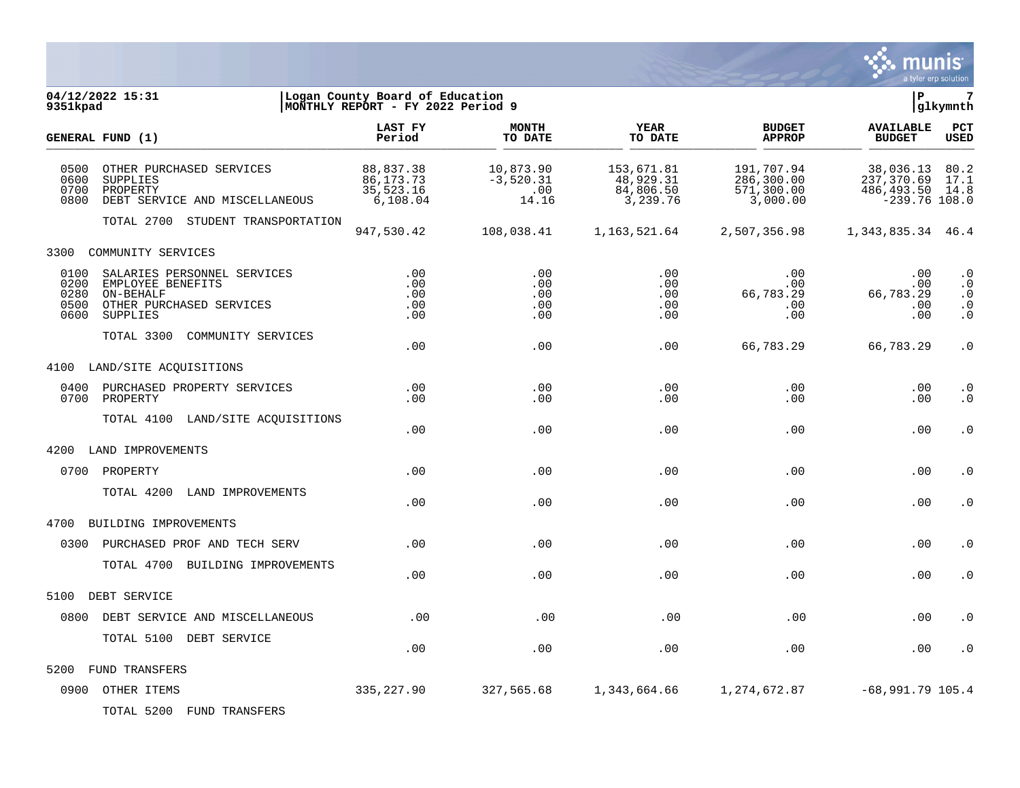

| 9351kpad                             | 04/12/2022 15:31                                                                                      | Logan County Board of Education<br>MONTHLY REPORT - FY 2022 Period 9 |                                          |                                                  |                                                    | l P                                                            | $7\phantom{.0}$<br>glkymnth                             |
|--------------------------------------|-------------------------------------------------------------------------------------------------------|----------------------------------------------------------------------|------------------------------------------|--------------------------------------------------|----------------------------------------------------|----------------------------------------------------------------|---------------------------------------------------------|
|                                      | GENERAL FUND (1)                                                                                      | LAST FY<br>Period                                                    | <b>MONTH</b><br>TO DATE                  | <b>YEAR</b><br>TO DATE                           | <b>BUDGET</b><br><b>APPROP</b>                     | <b>AVAILABLE</b><br><b>BUDGET</b>                              | $_{\rm PCT}$<br><b>USED</b>                             |
| 0500<br>0600<br>0700<br>0800         | OTHER PURCHASED SERVICES<br>SUPPLIES<br>PROPERTY<br>DEBT SERVICE AND MISCELLANEOUS                    | 88,837.38<br>86, 173. 73<br>35,523.16<br>6,108.04                    | 10,873.90<br>$-3,520.31$<br>.00<br>14.16 | 153,671.81<br>48,929.31<br>84,806.50<br>3,239.76 | 191,707.94<br>286,300.00<br>571,300.00<br>3,000.00 | 38,036.13<br>237,370.69<br>486, 493.50 14.8<br>$-239.76$ 108.0 | 80.2<br>17.1                                            |
|                                      | TOTAL 2700 STUDENT TRANSPORTATION                                                                     | 947,530.42                                                           | 108,038.41                               | 1,163,521.64                                     | 2,507,356.98                                       | 1, 343, 835. 34 46. 4                                          |                                                         |
| 3300                                 | COMMUNITY SERVICES                                                                                    |                                                                      |                                          |                                                  |                                                    |                                                                |                                                         |
| 0100<br>0200<br>0280<br>0500<br>0600 | SALARIES PERSONNEL SERVICES<br>EMPLOYEE BENEFITS<br>ON-BEHALF<br>OTHER PURCHASED SERVICES<br>SUPPLIES | .00<br>.00<br>.00<br>.00<br>.00                                      | .00<br>.00<br>.00<br>.00<br>.00          | .00<br>.00<br>.00<br>.00<br>.00                  | .00<br>$.00 \,$<br>66,783.29<br>.00<br>.00         | .00<br>.00<br>66,783.29<br>.00<br>.00                          | $\cdot$ 0<br>$\cdot$ 0<br>$\cdot$ 0<br>$\cdot$ 0<br>. 0 |
|                                      | TOTAL 3300<br>COMMUNITY SERVICES                                                                      | .00                                                                  | .00                                      | .00                                              | 66,783.29                                          | 66,783.29                                                      | . 0                                                     |
| 4100                                 | LAND/SITE ACQUISITIONS                                                                                |                                                                      |                                          |                                                  |                                                    |                                                                |                                                         |
|                                      | 0400 PURCHASED PROPERTY SERVICES<br>0700 PROPERTY                                                     | .00<br>.00                                                           | .00<br>.00                               | .00<br>.00                                       | .00<br>.00                                         | .00<br>.00                                                     | $\cdot$ 0<br>$\cdot$ 0                                  |
|                                      | TOTAL 4100 LAND/SITE ACQUISITIONS                                                                     | .00                                                                  | .00                                      | .00                                              | .00                                                | .00                                                            | $\cdot$ 0                                               |
| 4200                                 | LAND IMPROVEMENTS                                                                                     |                                                                      |                                          |                                                  |                                                    |                                                                |                                                         |
|                                      | 0700 PROPERTY                                                                                         | .00                                                                  | .00                                      | .00                                              | .00                                                | .00                                                            | $\cdot$ 0                                               |
|                                      | TOTAL 4200<br>LAND IMPROVEMENTS                                                                       | .00                                                                  | .00                                      | .00                                              | .00                                                | .00                                                            | $\cdot$ 0                                               |
| 4700                                 | BUILDING IMPROVEMENTS                                                                                 |                                                                      |                                          |                                                  |                                                    |                                                                |                                                         |
| 0300                                 | PURCHASED PROF AND TECH SERV                                                                          | .00                                                                  | .00                                      | .00                                              | .00                                                | .00                                                            | $\cdot$ 0                                               |
|                                      | TOTAL 4700 BUILDING IMPROVEMENTS                                                                      | .00                                                                  | .00                                      | .00                                              | .00                                                | .00                                                            | $\cdot$ 0                                               |
| 5100                                 | DEBT SERVICE                                                                                          |                                                                      |                                          |                                                  |                                                    |                                                                |                                                         |
| 0800                                 | DEBT SERVICE AND MISCELLANEOUS                                                                        | .00                                                                  | .00                                      | .00                                              | .00                                                | .00                                                            | $\cdot$ 0                                               |
|                                      | TOTAL 5100 DEBT SERVICE                                                                               | .00                                                                  | .00                                      | .00                                              | .00                                                | .00                                                            | . 0                                                     |
| 5200                                 | FUND TRANSFERS                                                                                        |                                                                      |                                          |                                                  |                                                    |                                                                |                                                         |
|                                      | 0900 OTHER ITEMS                                                                                      | 335,227.90                                                           | 327,565.68                               | 1,343,664.66                                     | 1,274,672.87                                       | $-68,991.79$ 105.4                                             |                                                         |

TOTAL 5200 FUND TRANSFERS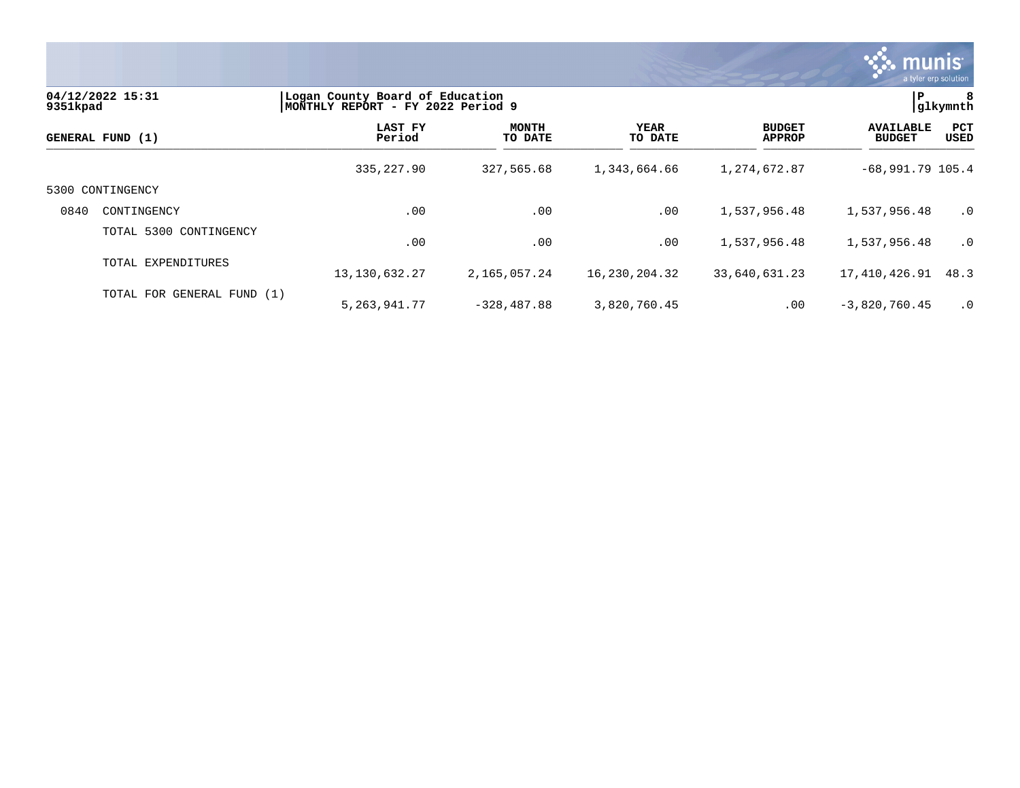

| 9351kpad | 04/12/2022 15:31           | Logan County Board of Education<br>MONTHLY REPORT - FY 2022 Period 9 |                         |                 |                                | ≀ P                               | 8<br>glkymnth |
|----------|----------------------------|----------------------------------------------------------------------|-------------------------|-----------------|--------------------------------|-----------------------------------|---------------|
|          | GENERAL FUND (1)           | LAST FY<br>Period                                                    | <b>MONTH</b><br>TO DATE | YEAR<br>TO DATE | <b>BUDGET</b><br><b>APPROP</b> | <b>AVAILABLE</b><br><b>BUDGET</b> | PCT<br>USED   |
|          |                            | 335,227.90                                                           | 327,565.68              | 1,343,664.66    | 1,274,672.87                   | $-68,991.79$ 105.4                |               |
|          | 5300 CONTINGENCY           |                                                                      |                         |                 |                                |                                   |               |
| 0840     | CONTINGENCY                | .00                                                                  | .00                     | .00             | 1,537,956.48                   | 1,537,956.48                      | $\cdot$ 0     |
|          | TOTAL 5300 CONTINGENCY     | .00                                                                  | .00                     | .00             | 1,537,956.48                   | 1,537,956.48                      | $\cdot$ 0     |
|          | TOTAL EXPENDITURES         | 13, 130, 632. 27                                                     | 2,165,057.24            | 16,230,204.32   | 33,640,631.23                  | 17,410,426.91                     | 48.3          |
|          | TOTAL FOR GENERAL FUND (1) | 5, 263, 941. 77                                                      | $-328, 487.88$          | 3,820,760.45    | .00                            | $-3,820,760.45$                   | $\cdot$ 0     |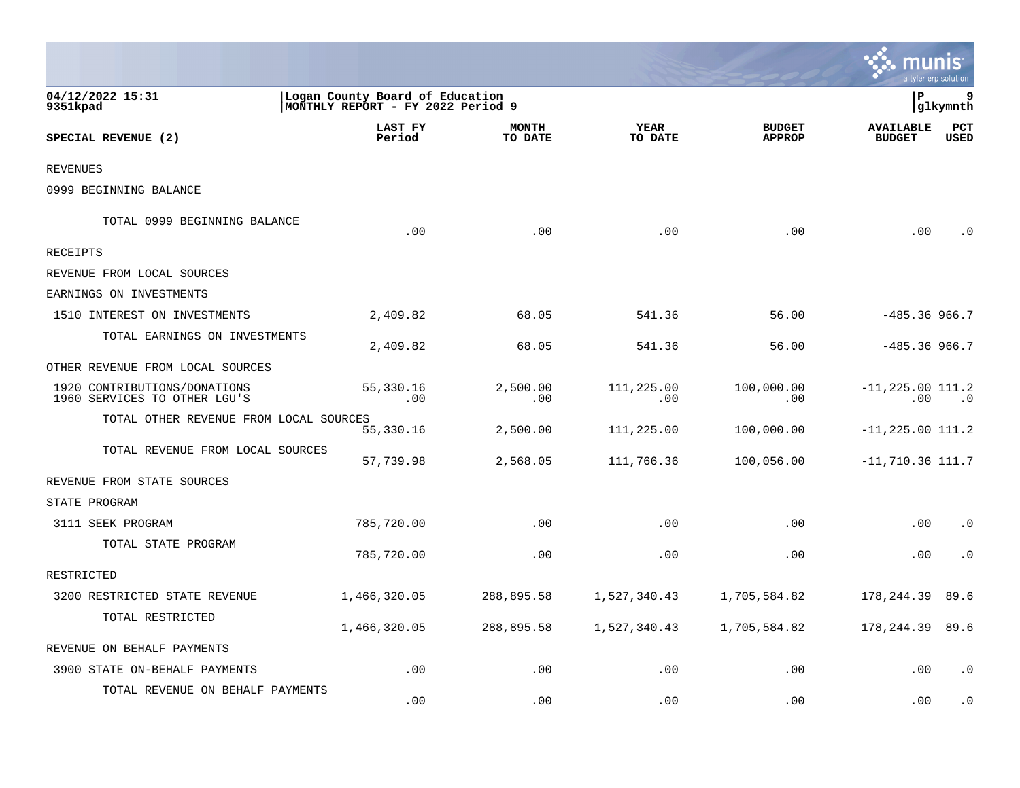|                                                              |                                                                      |                         |                        |                                |                                   | a tyler erp solution |
|--------------------------------------------------------------|----------------------------------------------------------------------|-------------------------|------------------------|--------------------------------|-----------------------------------|----------------------|
| 04/12/2022 15:31<br>9351kpad                                 | Logan County Board of Education<br>MONTHLY REPORT - FY 2022 Period 9 |                         |                        |                                | P.                                | 9<br>glkymnth        |
| SPECIAL REVENUE (2)                                          | LAST FY<br>Period                                                    | <b>MONTH</b><br>TO DATE | <b>YEAR</b><br>TO DATE | <b>BUDGET</b><br><b>APPROP</b> | <b>AVAILABLE</b><br><b>BUDGET</b> | PCT<br><b>USED</b>   |
| <b>REVENUES</b>                                              |                                                                      |                         |                        |                                |                                   |                      |
| 0999 BEGINNING BALANCE                                       |                                                                      |                         |                        |                                |                                   |                      |
| TOTAL 0999 BEGINNING BALANCE                                 | .00                                                                  | .00                     | .00                    | .00                            | .00                               |                      |
| <b>RECEIPTS</b>                                              |                                                                      |                         |                        |                                |                                   |                      |
| REVENUE FROM LOCAL SOURCES                                   |                                                                      |                         |                        |                                |                                   |                      |
| EARNINGS ON INVESTMENTS                                      |                                                                      |                         |                        |                                |                                   |                      |
| 1510 INTEREST ON INVESTMENTS                                 | 2,409.82                                                             | 68.05                   | 541.36                 | 56.00                          | $-485.36966.7$                    |                      |
| TOTAL EARNINGS ON INVESTMENTS                                | 2,409.82                                                             | 68.05                   | 541.36                 | 56.00                          | $-485.36966.7$                    |                      |
| OTHER REVENUE FROM LOCAL SOURCES                             |                                                                      |                         |                        |                                |                                   |                      |
| 1920 CONTRIBUTIONS/DONATIONS<br>1960 SERVICES TO OTHER LGU'S | 55,330.16<br>.00                                                     | 2,500.00<br>.00         | 111,225.00<br>.00      | 100,000.00<br>.00              | $-11, 225.00 111.2$<br>.00        | $\cdot$ 0            |
| TOTAL OTHER REVENUE FROM LOCAL SOURCES                       | 55,330.16                                                            | 2,500.00                | 111,225.00             | 100,000.00                     | $-11, 225.00 111.2$               |                      |
| TOTAL REVENUE FROM LOCAL SOURCES                             | 57,739.98                                                            | 2,568.05                | 111,766.36             | 100,056.00                     | $-11,710.36$ 111.7                |                      |
| REVENUE FROM STATE SOURCES                                   |                                                                      |                         |                        |                                |                                   |                      |
| STATE PROGRAM                                                |                                                                      |                         |                        |                                |                                   |                      |
| 3111 SEEK PROGRAM                                            | 785,720.00                                                           | .00                     | .00                    | .00                            | .00                               | $\cdot$ 0            |
| TOTAL STATE PROGRAM                                          | 785,720.00                                                           | .00                     | .00                    | .00                            | .00                               | . 0                  |
| RESTRICTED                                                   |                                                                      |                         |                        |                                |                                   |                      |
| 3200 RESTRICTED STATE REVENUE                                | 1,466,320.05                                                         | 288,895.58              | 1,527,340.43           | 1,705,584.82                   | 178,244.39                        | 89.6                 |
| TOTAL RESTRICTED                                             | 1,466,320.05                                                         | 288,895.58              | 1,527,340.43           | 1,705,584.82                   | 178,244.39                        | 89.6                 |
| REVENUE ON BEHALF PAYMENTS                                   |                                                                      |                         |                        |                                |                                   |                      |
| 3900 STATE ON-BEHALF PAYMENTS                                | .00                                                                  | .00                     | .00                    | .00                            | .00                               | . 0                  |
| TOTAL REVENUE ON BEHALF PAYMENTS                             | .00                                                                  | .00                     | .00                    | .00                            | .00                               | . 0                  |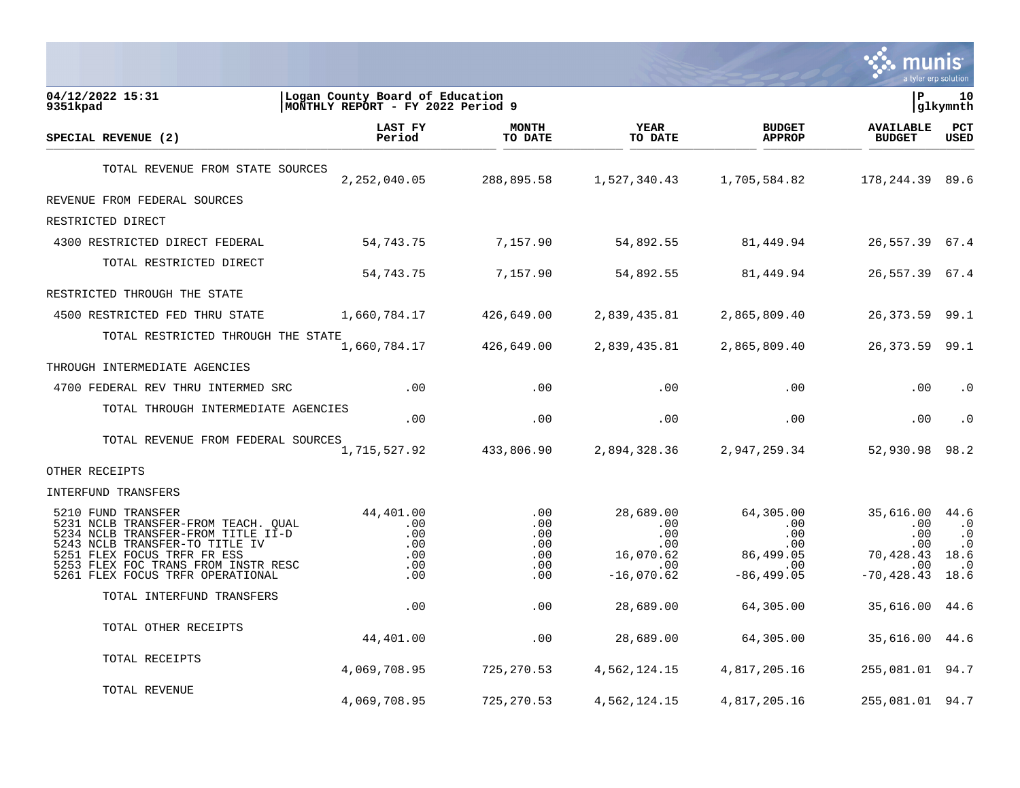

| 04/12/2022 15:31<br>9351kpad                                                                                                                                                                                                                | Logan County Board of Education<br>MONTHLY REPORT - FY 2022 Period 9 |                                               |                                                                                   |                                                                          | l P                                                                      | 10<br> glkymnth                                                   |
|---------------------------------------------------------------------------------------------------------------------------------------------------------------------------------------------------------------------------------------------|----------------------------------------------------------------------|-----------------------------------------------|-----------------------------------------------------------------------------------|--------------------------------------------------------------------------|--------------------------------------------------------------------------|-------------------------------------------------------------------|
| SPECIAL REVENUE (2)                                                                                                                                                                                                                         | <b>LAST FY</b><br>Period                                             | <b>MONTH</b><br>TO DATE                       | <b>YEAR</b><br>TO DATE                                                            | <b>BUDGET</b><br><b>APPROP</b>                                           | <b>AVAILABLE</b><br><b>BUDGET</b>                                        | <b>PCT</b><br><b>USED</b>                                         |
| TOTAL REVENUE FROM STATE SOURCES                                                                                                                                                                                                            | 2, 252, 040.05                                                       | 288,895.58                                    | 1,527,340.43                                                                      | 1,705,584.82                                                             | 178, 244. 39 89. 6                                                       |                                                                   |
| REVENUE FROM FEDERAL SOURCES                                                                                                                                                                                                                |                                                                      |                                               |                                                                                   |                                                                          |                                                                          |                                                                   |
| RESTRICTED DIRECT                                                                                                                                                                                                                           |                                                                      |                                               |                                                                                   |                                                                          |                                                                          |                                                                   |
| 4300 RESTRICTED DIRECT FEDERAL                                                                                                                                                                                                              | 54,743.75                                                            | 7,157.90                                      | 54,892.55                                                                         | 81,449.94                                                                | 26,557.39 67.4                                                           |                                                                   |
| TOTAL RESTRICTED DIRECT                                                                                                                                                                                                                     | 54,743.75                                                            | 7,157.90                                      | 54,892.55                                                                         | 81,449.94                                                                | 26,557.39 67.4                                                           |                                                                   |
| RESTRICTED THROUGH THE STATE                                                                                                                                                                                                                |                                                                      |                                               |                                                                                   |                                                                          |                                                                          |                                                                   |
| 4500 RESTRICTED FED THRU STATE                                                                                                                                                                                                              | 1,660,784.17                                                         | 426,649.00                                    | 2,839,435.81                                                                      | 2,865,809.40                                                             | 26, 373.59 99.1                                                          |                                                                   |
| TOTAL RESTRICTED THROUGH THE STATE                                                                                                                                                                                                          | 1,660,784.17                                                         | 426,649.00                                    | 2,839,435.81                                                                      | 2,865,809.40                                                             | 26, 373.59 99.1                                                          |                                                                   |
| THROUGH INTERMEDIATE AGENCIES                                                                                                                                                                                                               |                                                                      |                                               |                                                                                   |                                                                          |                                                                          |                                                                   |
| 4700 FEDERAL REV THRU INTERMED SRC                                                                                                                                                                                                          | .00                                                                  | .00                                           | .00                                                                               | .00                                                                      | .00                                                                      | $\cdot$ 0                                                         |
| TOTAL THROUGH INTERMEDIATE AGENCIES                                                                                                                                                                                                         | .00                                                                  | .00                                           | .00                                                                               | .00                                                                      | .00                                                                      | $\cdot$ 0                                                         |
| TOTAL REVENUE FROM FEDERAL SOURCES                                                                                                                                                                                                          | 1,715,527.92                                                         | 433,806.90                                    | 2,894,328.36                                                                      | 2,947,259.34                                                             | 52,930.98                                                                | 98.2                                                              |
| OTHER RECEIPTS                                                                                                                                                                                                                              |                                                                      |                                               |                                                                                   |                                                                          |                                                                          |                                                                   |
| INTERFUND TRANSFERS                                                                                                                                                                                                                         |                                                                      |                                               |                                                                                   |                                                                          |                                                                          |                                                                   |
| 5210 FUND TRANSFER<br>5231 NCLB TRANSFER-FROM TEACH. QUAL<br>5234 NCLB TRANSFER-FROM TITLE II-D<br>5243 NCLB TRANSFER-TO TITLE IV<br>5251 FLEX FOCUS TRFR FR ESS<br>5253 FLEX FOC TRANS FROM INSTR RESC<br>5261 FLEX FOCUS TRFR OPERATIONAL | 44,401.00<br>.00<br>.00<br>.00<br>.00<br>.00<br>.00                  | .00<br>.00<br>.00<br>.00<br>.00<br>.00<br>.00 | 28,689.00<br>.00<br>$.00 \,$<br>$.00 \,$<br>16,070.62<br>$.00 \,$<br>$-16,070.62$ | 64,305.00<br>.00<br>.00<br>$.00 \,$<br>86,499.05<br>.00<br>$-86, 499.05$ | 35,616.00<br>.00<br>$.00 \,$<br>.00<br>70,428.43<br>.00<br>$-70, 428.43$ | 44.6<br>.0<br>$\cdot$ 0<br>$\cdot$ 0<br>18.6<br>$\cdot$ 0<br>18.6 |
| TOTAL INTERFUND TRANSFERS                                                                                                                                                                                                                   | .00                                                                  | .00                                           | 28,689.00                                                                         | 64,305.00                                                                | 35,616.00 44.6                                                           |                                                                   |
| TOTAL OTHER RECEIPTS                                                                                                                                                                                                                        | 44,401.00                                                            | .00                                           | 28,689.00                                                                         | 64,305.00                                                                | 35,616.00 44.6                                                           |                                                                   |
| TOTAL RECEIPTS                                                                                                                                                                                                                              | 4,069,708.95                                                         | 725,270.53                                    | 4,562,124.15                                                                      | 4,817,205.16                                                             | 255,081.01 94.7                                                          |                                                                   |
| TOTAL REVENUE                                                                                                                                                                                                                               | 4,069,708.95                                                         | 725,270.53                                    | 4,562,124.15                                                                      | 4,817,205.16                                                             | 255,081.01 94.7                                                          |                                                                   |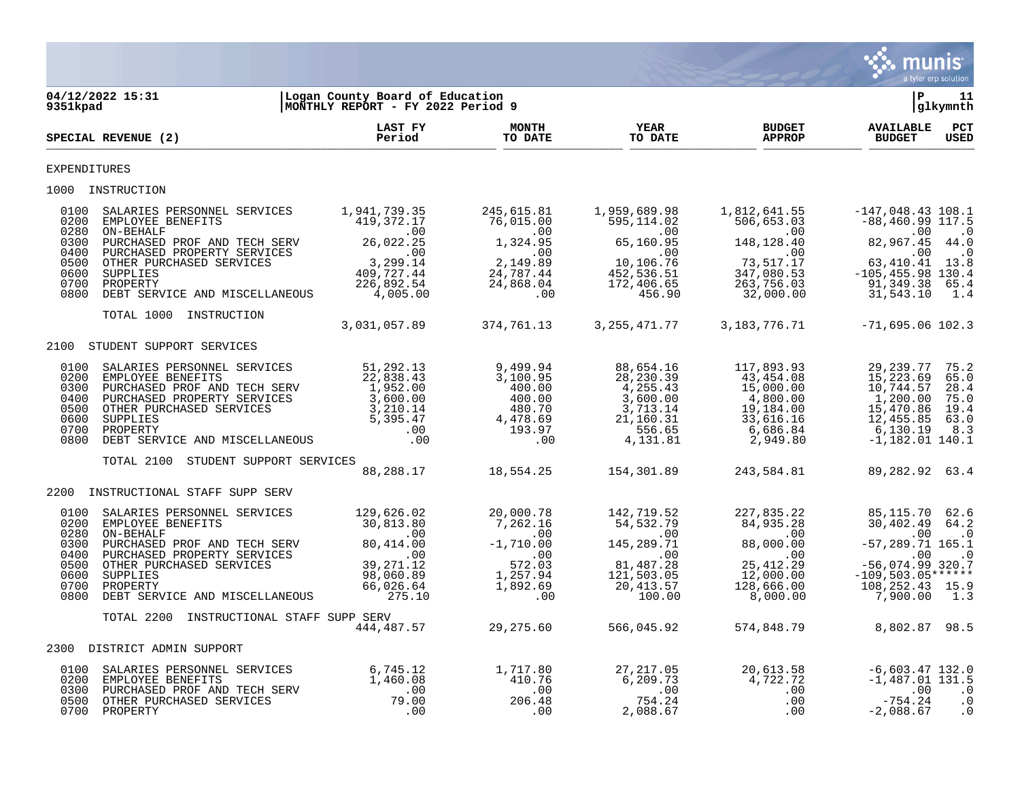

| 9351kpad             | 04/12/2022 15:31                                                                                                                                                                                                                                                                           | Logan County Board of Education<br>MONTHLY REPORT - FY 2022 Period 9 |                                                                                         |                                                                                                                                                                   |                                                                                                                                                        | ΙP                                                                                                                                                                                  | 11<br> glkymnth                             |
|----------------------|--------------------------------------------------------------------------------------------------------------------------------------------------------------------------------------------------------------------------------------------------------------------------------------------|----------------------------------------------------------------------|-----------------------------------------------------------------------------------------|-------------------------------------------------------------------------------------------------------------------------------------------------------------------|--------------------------------------------------------------------------------------------------------------------------------------------------------|-------------------------------------------------------------------------------------------------------------------------------------------------------------------------------------|---------------------------------------------|
|                      | SPECIAL REVENUE (2)                                                                                                                                                                                                                                                                        | LAST FY<br>Period                                                    | <b>MONTH</b><br>TO DATE                                                                 | YEAR<br>TO DATE                                                                                                                                                   | <b>BUDGET</b><br><b>APPROP</b>                                                                                                                         | <b>AVAILABLE</b><br><b>BUDGET</b>                                                                                                                                                   | $_{\rm PCT}$<br><b>USED</b>                 |
| <b>EXPENDITURES</b>  |                                                                                                                                                                                                                                                                                            |                                                                      |                                                                                         |                                                                                                                                                                   |                                                                                                                                                        |                                                                                                                                                                                     |                                             |
|                      | 1000 INSTRUCTION                                                                                                                                                                                                                                                                           |                                                                      |                                                                                         |                                                                                                                                                                   |                                                                                                                                                        |                                                                                                                                                                                     |                                             |
| 0100                 | SALARIES PERSONNEL SERVICES 1,941,739.35<br>0200 EMPLOYEE BENSOMMED SENVICES<br>0200 EMPLOYEE BENEFITS<br>0300 PURCHASED PROF AND TECH SERV<br>0300 PURCHASED PROF AND TECH SERV<br>0600 OTHER PURCHASED SERVICES<br>0600 OTHER PURCHASED SERVICES<br>0600 SUPPLIES<br>0600 SUPPLIES<br>06 |                                                                      | 245,615.81<br>76,015.00                                                                 | 1,959,689.98<br>595,114.02                                                                                                                                        | 1,812,641.55<br>506,653.03<br>.00                                                                                                                      | -147,048.43 108.1<br>$-88,460.99$ 117.5<br>$82,967.45$ 44.0                                                                                                                         |                                             |
| 0700<br>0800         | PROPERTY<br>DEBT SERVICE AND MISCELLANEOUS                                                                                                                                                                                                                                                 | 226,892.54<br>4,005.00                                               | $1,324.95$<br>$2,149.89$<br>$24,787.44$<br>$24,868.04$<br>$00$                          |                                                                                                                                                                   | 32,000.00                                                                                                                                              | $\begin{array}{cccc} 148,128.40 & .00 & .01 & .00 \\ 73,517.17 & 63,410.41 & 13.8 \\ 347,080.53 & -105,455.98 & 130.4 \\ 263,756.03 & 91,349.38 & 65.4 \\ \end{array}$<br>31,543.10 | 1.4                                         |
|                      | TOTAL 1000 INSTRUCTION                                                                                                                                                                                                                                                                     |                                                                      | 3,031,057.89 374,761.13                                                                 |                                                                                                                                                                   | 3, 255, 471. 77 3, 183, 776. 71                                                                                                                        | $-71,695.06$ 102.3                                                                                                                                                                  |                                             |
|                      | 2100 STUDENT SUPPORT SERVICES                                                                                                                                                                                                                                                              |                                                                      |                                                                                         |                                                                                                                                                                   |                                                                                                                                                        |                                                                                                                                                                                     |                                             |
|                      |                                                                                                                                                                                                                                                                                            |                                                                      |                                                                                         | 88,654.16<br>28,230.39<br>4,255.43<br>3,600.00<br>$3, 713.14$<br>$21, 160.31$<br>$556.65$<br>$81$                                                                 | 117,893.93<br>43,454.08<br>15,000.00<br>4,800.00<br>19,184.00<br>33,616.16<br>6,686.84<br>2,949.80                                                     | 29,239.77<br>15,223.69<br>10,744.57<br>1,200.00<br>15,470.86<br>12,455.85 63.0<br>6,130.19<br>$-1,182.01$ 140.1                                                                     | 75.2<br>65.0<br>28.4<br>75.0<br>19.4<br>8.3 |
|                      | TOTAL 2100<br>STUDENT SUPPORT SERVICES                                                                                                                                                                                                                                                     |                                                                      | 88, 288.17 18, 554.25                                                                   |                                                                                                                                                                   |                                                                                                                                                        |                                                                                                                                                                                     |                                             |
| 2200                 | INSTRUCTIONAL STAFF SUPP SERV                                                                                                                                                                                                                                                              |                                                                      |                                                                                         | 154,301.89                                                                                                                                                        | 243,584.81                                                                                                                                             | 89,282.92 63.4                                                                                                                                                                      |                                             |
| 0600<br>0700<br>0800 | SUPPLIES<br>PROPERTY<br>DEBT SERVICE AND MISCELLANEOUS                                                                                                                                                                                                                                     | 98,060.89<br>66,026.64<br>275.10                                     | 20,000.78<br>000.78<br>7,262.16<br>00.00<br>-1,710.00<br>572.03<br>1,257.94<br>1,892.69 | 142,719.52<br>54,532.79<br>54,532.79<br>00.<br>145,289.71<br>$\begin{array}{r} 1 + 5,289.71 \\ .00 \\ 81,487.28 \\ 121,503.05 \\ 20,413.57 \\ 100.00 \end{array}$ | 227,835.22<br>82.dtc. <del>.</del> u<br>00.<br>38.ano.a8<br>$145,289.71$ $88,000.00$<br>$\sim$ 00<br>25, 412.29<br>12,000.00<br>128,666.00<br>8,000.00 | 85,115.70 62.6<br>30,402.49 64.2<br>$\sim$ 00<br>$-57, 289.71$ 165.1<br>$\sim$ 00<br>$-56,074.99$ 320.7<br>$-109,503.05***$ *****<br>108, 252. 43 15.9<br>7,900.00                  | $\cdot$ 0<br>$\cdot$ 0<br>1.3               |
|                      | TOTAL 2200<br>INSTRUCTIONAL STAFF SUPP SERV                                                                                                                                                                                                                                                |                                                                      | 444, 487.57 29, 275.60                                                                  | 566,045.92                                                                                                                                                        |                                                                                                                                                        | 574,848.79 8,802.87 98.5                                                                                                                                                            |                                             |
|                      | 2300 DISTRICT ADMIN SUPPORT                                                                                                                                                                                                                                                                |                                                                      |                                                                                         |                                                                                                                                                                   |                                                                                                                                                        |                                                                                                                                                                                     |                                             |
|                      | 0100 SALARIES PERSONNEL SERVICES 6,745.12 1,717.80<br>0200 EMPLOYEE BENEFITS 1,460.08 410.76<br>0300 PURCHASED PROF AND TECH SERV 1,460.08 00<br>0500 OTHER PURCHASED SERVICES 79.00 206.48<br>0700 PROPERTY .00 .00                                                                       |                                                                      |                                                                                         |                                                                                                                                                                   | 27, 217.05 20, 613.58<br>6, 209.73 4, 722.72<br>$754.24$<br>$754.24$<br>$2,088.67$<br>$0$<br>$0$<br>.00<br>.00                                         | -6,603.47 132.0<br>$-1,487.01$ 131.5<br>.00<br>$-754.24$<br>$-2,088.67$                                                                                                             | $\cdot$ 0<br>$\cdot$ 0<br>$\cdot$ 0         |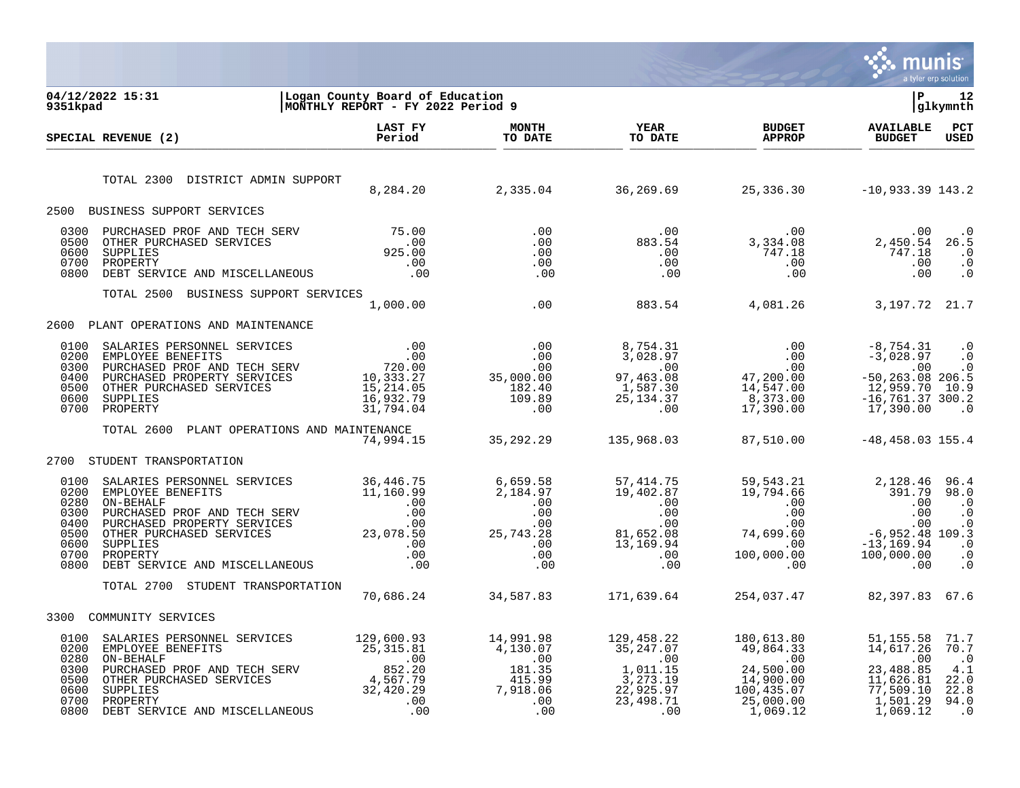

| 9351kpad                                                             | 04/12/2022 15:31                                                                                                                                                                                                                                                                                                                                           | Logan County Board of Education<br>MONTHLY REPORT - FY 2022 Period 9 |                         |                                |                                                                   | ΙP                                                                                                                      | 12<br> glkymnth                                                     |
|----------------------------------------------------------------------|------------------------------------------------------------------------------------------------------------------------------------------------------------------------------------------------------------------------------------------------------------------------------------------------------------------------------------------------------------|----------------------------------------------------------------------|-------------------------|--------------------------------|-------------------------------------------------------------------|-------------------------------------------------------------------------------------------------------------------------|---------------------------------------------------------------------|
|                                                                      | SPECIAL REVENUE (2)                                                                                                                                                                                                                                                                                                                                        | LAST FY<br>Period                                                    | <b>MONTH</b><br>TO DATE | <b>YEAR</b><br>TO DATE         | <b>BUDGET</b><br><b>APPROP</b>                                    | <b>AVAILABLE</b><br><b>BUDGET</b>                                                                                       | PCT<br><b>USED</b>                                                  |
|                                                                      | TOTAL 2300 DISTRICT ADMIN SUPPORT                                                                                                                                                                                                                                                                                                                          |                                                                      |                         |                                | 8, 284. 20 2, 335. 04 36, 269. 69 25, 336. 30 -10, 933. 39 143. 2 |                                                                                                                         |                                                                     |
|                                                                      | 2500 BUSINESS SUPPORT SERVICES                                                                                                                                                                                                                                                                                                                             |                                                                      |                         |                                |                                                                   |                                                                                                                         |                                                                     |
| 0300<br>0500<br>0600<br>0700<br>0800                                 |                                                                                                                                                                                                                                                                                                                                                            |                                                                      |                         |                                |                                                                   |                                                                                                                         |                                                                     |
|                                                                      | TOTAL 2500 BUSINESS SUPPORT SERVICES                                                                                                                                                                                                                                                                                                                       |                                                                      |                         |                                |                                                                   |                                                                                                                         |                                                                     |
|                                                                      |                                                                                                                                                                                                                                                                                                                                                            |                                                                      |                         |                                |                                                                   |                                                                                                                         |                                                                     |
| 2600                                                                 | PLANT OPERATIONS AND MAINTENANCE                                                                                                                                                                                                                                                                                                                           |                                                                      |                         |                                |                                                                   |                                                                                                                         |                                                                     |
| 0100<br>0200<br>0300<br>0400<br>0500<br>0600<br>0700                 | $\begin{tabular}{lcccc} SALARIES PERSONNEL SERVICES & .00 & .00 & 8,754.31 & .00 & -8,754.31 \\ EMPLOYE BENREFITS & .00 & 0 & 3,028.97 & .00 & -3,028.97 \\ PURCHASED PROFENTS & .00 & .00 & .00 & .00 & .00 \\ PURCHASED PROFENTS SERVICES & 10,333.27 & 35,000.00 & 97,463.08 & 47,200.00 & -50,263.08 \\ OTEER PROFERTS SERVICES & 15,214.05 & 16,932.$ |                                                                      |                         |                                |                                                                   | $-50, 263.08$ 206.5<br>12,959.70 10.9<br>$-16, 761.37$ 300.2                                                            | $\cdot$ 0<br>$\ddot{0}$<br>$\cdot$ 0<br>$\overline{\phantom{0}}$ .0 |
|                                                                      | TOTAL 2600 PLANT OPERATIONS AND MAINTENANCE                                                                                                                                                                                                                                                                                                                | 74,994.15                                                            |                         |                                | 35, 292. 29 135, 968. 03 87, 510. 00                              | $-48, 458.03$ 155.4                                                                                                     |                                                                     |
| 2700                                                                 | STUDENT TRANSPORTATION                                                                                                                                                                                                                                                                                                                                     |                                                                      |                         |                                |                                                                   |                                                                                                                         |                                                                     |
| 0100<br>0200<br>0280<br>0300<br>0400<br>0500<br>0600<br>0700<br>0800 | $\begin{tabular}{l c c c c c c} \texttt{SALARIES PERSONNEL} & \texttt{SERVICES} & 36,446.75 & 6,659.58 & 57,414.75 & 59,543.21 & 2,128.46 & 96.4 & 96.4 & 96.4 & 96.4 & 96.4 & 96.4 & 96.4 & 96.4 & 96.4 & 96.4 & 96.4 & 96.4 & 96.4 & 96.4 & 96.4 & 96.4 & 96.4 & 96.4 & 96.4 & 96.4 & 96.4 &$                                                            |                                                                      |                         |                                |                                                                   |                                                                                                                         |                                                                     |
|                                                                      | TOTAL 2700 STUDENT TRANSPORTATION                                                                                                                                                                                                                                                                                                                          |                                                                      |                         | 70,686.24 34,587.83 171,639.64 | 254,037.47                                                        | 82,397.83 67.6                                                                                                          |                                                                     |
| 3300                                                                 | COMMUNITY SERVICES                                                                                                                                                                                                                                                                                                                                         |                                                                      |                         |                                |                                                                   |                                                                                                                         |                                                                     |
| 0100<br>0200<br>0280<br>0300<br>0500<br>0600<br>0700<br>0800         | 34,420.29<br>EMPLOYEE BENEFITS 25,315.81<br>EMPLOYEE BENEFITS 25,315.81<br>25,315.81<br>25,315.81<br>25,315.81<br>25,315.81<br>25,315.81<br>25,315.81<br>25,315.81<br>26,600.93<br>4,130.07<br>26,247.07<br>26,864.33<br>29,864.33<br>29,864.33                                                                                                            |                                                                      |                         |                                |                                                                   | 51,155.58<br>14,617.26 70.7<br>$\overline{00}$<br>23,488.85<br>11,626.81 22.0<br>77,509.10 22.8<br>1,501.29<br>1,069.12 | 71.7<br>$\cdot$ 0<br>4.1<br>94.0<br>$\cdot$ 0                       |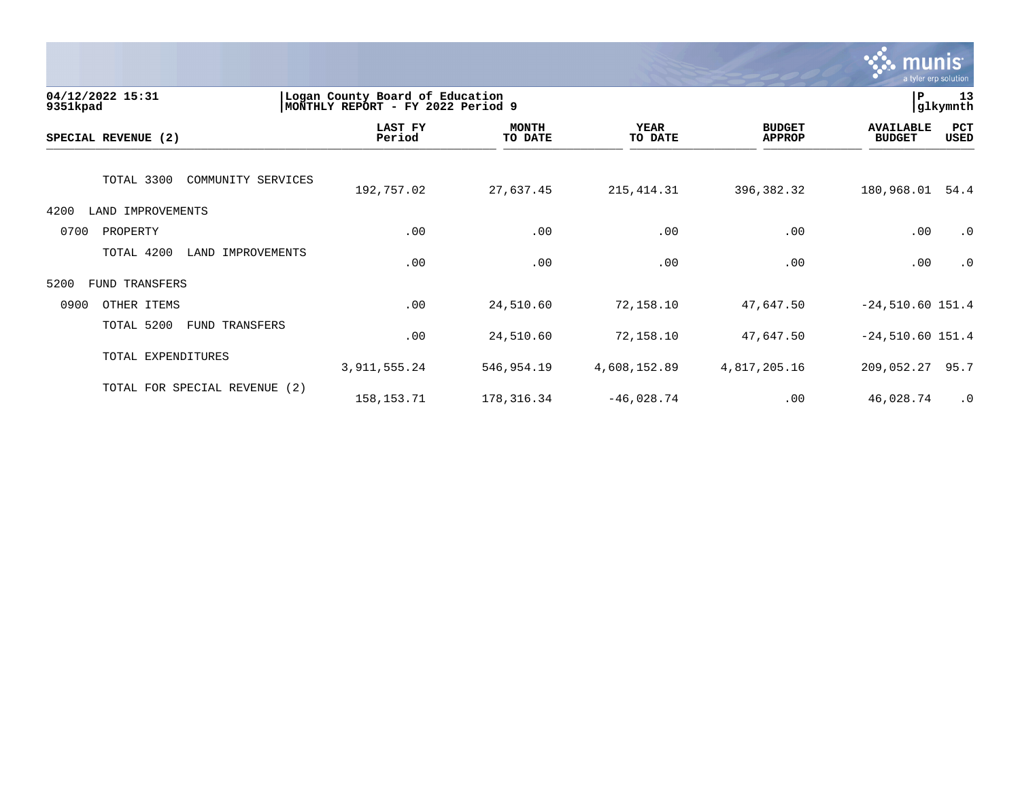

| 04/12/2022 15:31<br>9351kpad       | Logan County Board of Education<br>MONTHLY REPORT - FY 2022 Period 9 |                         |                        |                                |                                   | P<br>13<br>glkymnth |  |
|------------------------------------|----------------------------------------------------------------------|-------------------------|------------------------|--------------------------------|-----------------------------------|---------------------|--|
| SPECIAL REVENUE (2)                | LAST FY<br>Period                                                    | <b>MONTH</b><br>TO DATE | <b>YEAR</b><br>TO DATE | <b>BUDGET</b><br><b>APPROP</b> | <b>AVAILABLE</b><br><b>BUDGET</b> | PCT<br>USED         |  |
| TOTAL 3300<br>COMMUNITY SERVICES   | 192,757.02                                                           | 27,637.45               | 215, 414.31            | 396,382.32                     | 180,968.01                        | 54.4                |  |
| LAND IMPROVEMENTS<br>4200          |                                                                      |                         |                        |                                |                                   |                     |  |
| 0700<br>PROPERTY                   | .00                                                                  | .00                     | .00                    | .00                            | .00                               | $\cdot$ 0           |  |
| TOTAL 4200<br>LAND<br>IMPROVEMENTS | .00                                                                  | .00                     | .00                    | .00                            | .00                               | $\cdot$ 0           |  |
| 5200<br>FUND TRANSFERS             |                                                                      |                         |                        |                                |                                   |                     |  |
| 0900<br>OTHER ITEMS                | .00                                                                  | 24,510.60               | 72,158.10              | 47,647.50                      | $-24,510.60$ 151.4                |                     |  |
| TOTAL 5200<br>FUND TRANSFERS       | .00                                                                  | 24,510.60               | 72,158.10              | 47,647.50                      | $-24,510.60$ 151.4                |                     |  |
| TOTAL EXPENDITURES                 | 3, 911, 555.24                                                       | 546,954.19              | 4,608,152.89           | 4,817,205.16                   | 209,052.27                        | 95.7                |  |
| TOTAL FOR SPECIAL REVENUE (2)      | 158, 153. 71                                                         | 178,316.34              | $-46,028.74$           | .00                            | 46,028.74                         | $\cdot$ 0           |  |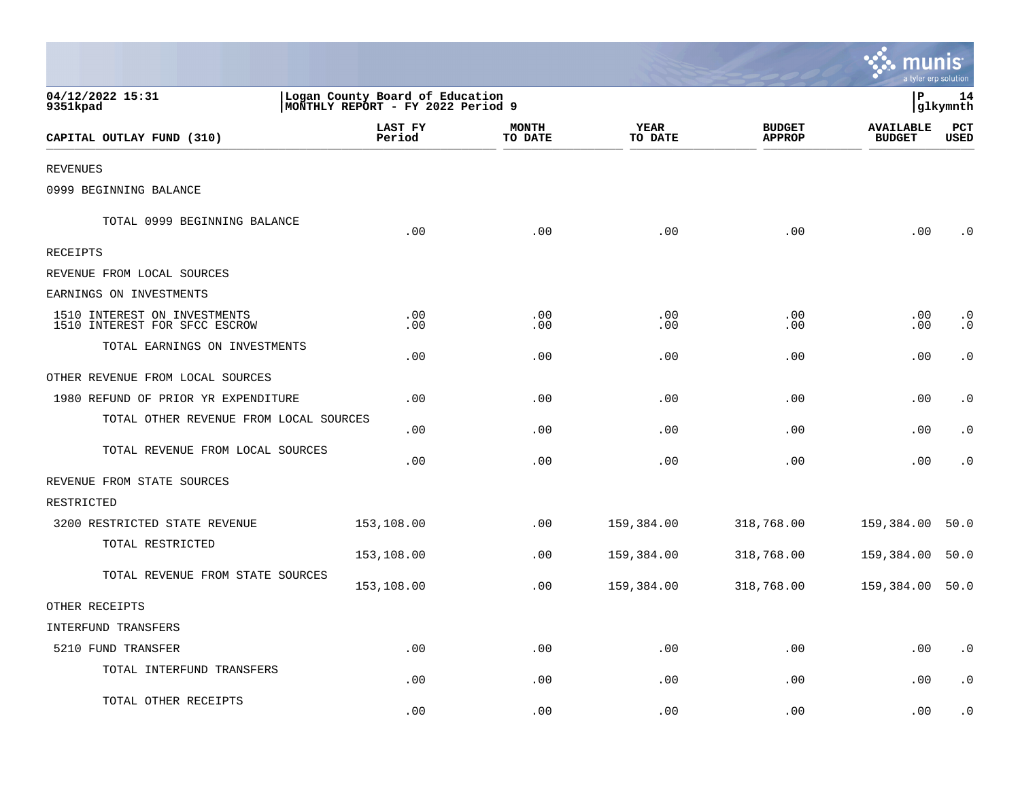|                                                               |                                                                       |                         |                             |                                | a tyler erp solution              |                        |
|---------------------------------------------------------------|-----------------------------------------------------------------------|-------------------------|-----------------------------|--------------------------------|-----------------------------------|------------------------|
| 04/12/2022 15:31<br>9351kpad                                  | Logan County Board of Education<br> MONTHLY REPORT - FY 2022 Period 9 |                         |                             |                                | P                                 | 14<br>glkymnth         |
| CAPITAL OUTLAY FUND (310)                                     | LAST FY<br>Period                                                     | <b>MONTH</b><br>TO DATE | <b>YEAR</b><br>TO DATE      | <b>BUDGET</b><br><b>APPROP</b> | <b>AVAILABLE</b><br><b>BUDGET</b> | PCT<br>USED            |
| <b>REVENUES</b>                                               |                                                                       |                         |                             |                                |                                   |                        |
| 0999 BEGINNING BALANCE                                        |                                                                       |                         |                             |                                |                                   |                        |
| TOTAL 0999 BEGINNING BALANCE                                  | .00                                                                   | .00                     | .00                         | .00                            | .00                               | $\cdot$ 0              |
| RECEIPTS                                                      |                                                                       |                         |                             |                                |                                   |                        |
| REVENUE FROM LOCAL SOURCES                                    |                                                                       |                         |                             |                                |                                   |                        |
| EARNINGS ON INVESTMENTS                                       |                                                                       |                         |                             |                                |                                   |                        |
| 1510 INTEREST ON INVESTMENTS<br>1510 INTEREST FOR SFCC ESCROW | .00<br>.00                                                            | $.00 \,$<br>.00         | .00<br>.00                  | .00<br>.00                     | $.00 \,$<br>.00                   | $\cdot$ 0<br>$\cdot$ 0 |
| TOTAL EARNINGS ON INVESTMENTS                                 | .00                                                                   | .00                     | .00                         | .00                            | .00                               | $\cdot$ 0              |
| OTHER REVENUE FROM LOCAL SOURCES                              |                                                                       |                         |                             |                                |                                   |                        |
| 1980 REFUND OF PRIOR YR EXPENDITURE                           | .00                                                                   | .00                     | .00                         | .00                            | .00                               | $\cdot$ 0              |
| TOTAL OTHER REVENUE FROM LOCAL SOURCES                        | .00                                                                   | .00                     | .00                         | .00                            | .00                               | $\cdot$ 0              |
| TOTAL REVENUE FROM LOCAL SOURCES                              | .00                                                                   | .00                     | .00                         | .00                            | .00                               | $\cdot$ 0              |
| REVENUE FROM STATE SOURCES                                    |                                                                       |                         |                             |                                |                                   |                        |
| RESTRICTED                                                    |                                                                       |                         |                             |                                |                                   |                        |
| 3200 RESTRICTED STATE REVENUE                                 | 153,108.00                                                            | .00                     | 159,384.00                  | 318,768.00                     | 159,384.00                        | 50.0                   |
| TOTAL RESTRICTED                                              | 153,108.00                                                            | .00                     | 159,384.00                  | 318,768.00                     | 159,384.00                        | 50.0                   |
| TOTAL REVENUE FROM STATE SOURCES                              | 153,108.00                                                            | .00                     | 159,384.00                  | 318,768.00                     | 159,384.00 50.0                   |                        |
| OTHER RECEIPTS                                                |                                                                       |                         |                             |                                |                                   |                        |
| INTERFUND TRANSFERS                                           |                                                                       |                         |                             |                                |                                   |                        |
| 5210 FUND TRANSFER                                            | .00                                                                   | .00                     | $.00$                       | .00                            | .00                               | $\boldsymbol{\cdot}$ 0 |
| TOTAL INTERFUND TRANSFERS                                     | .00                                                                   | .00                     | .00                         | .00                            | .00                               | $\cdot$ 0              |
| TOTAL OTHER RECEIPTS                                          | .00                                                                   | .00                     | $\boldsymbol{\mathsf{.00}}$ | .00                            | .00                               | $\cdot$ 0              |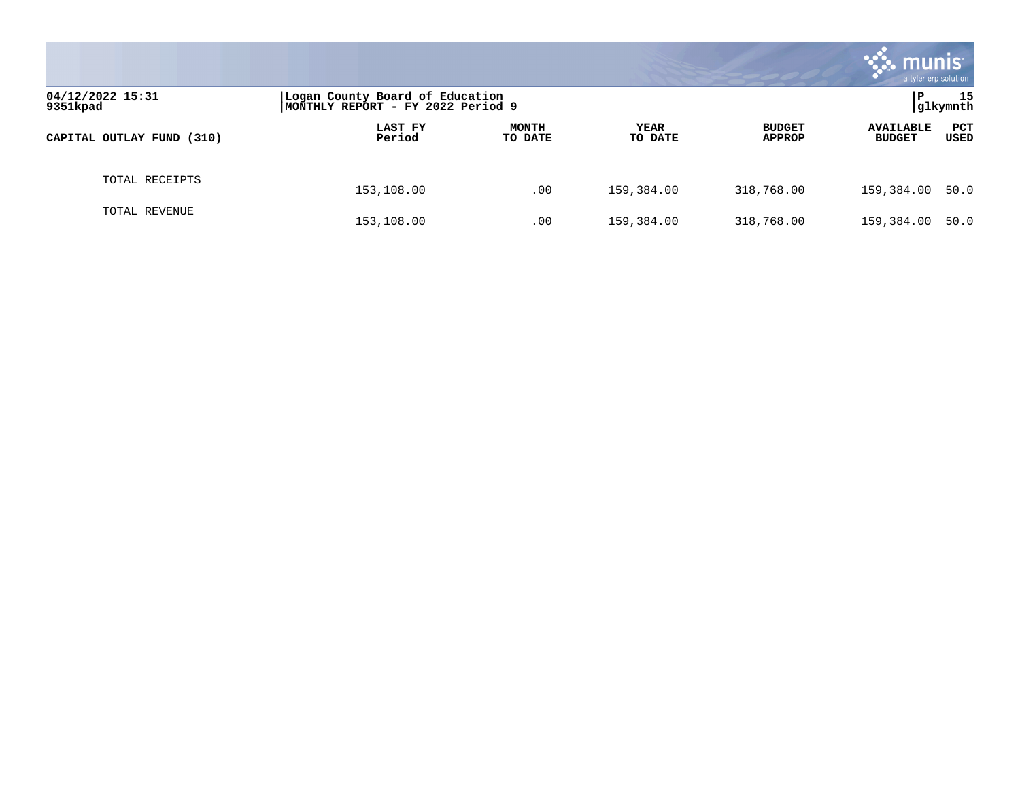|                              |                                                                      |                         |                        |                                | munis<br>a tyler erp solution     |                    |
|------------------------------|----------------------------------------------------------------------|-------------------------|------------------------|--------------------------------|-----------------------------------|--------------------|
| 04/12/2022 15:31<br>9351kpad | Logan County Board of Education<br>MONTHLY REPORT - FY 2022 Period 9 |                         |                        |                                | 15<br>P<br>glkymnth               |                    |
| CAPITAL OUTLAY FUND (310)    | LAST FY<br>Period                                                    | <b>MONTH</b><br>TO DATE | <b>YEAR</b><br>TO DATE | <b>BUDGET</b><br><b>APPROP</b> | <b>AVAILABLE</b><br><b>BUDGET</b> | <b>PCT</b><br>USED |
| TOTAL RECEIPTS               | 153,108.00                                                           | .00                     | 159,384.00             | 318,768.00                     | 159,384.00 50.0                   |                    |
| TOTAL REVENUE                | 153,108.00                                                           | .00                     | 159,384.00             | 318,768.00                     | 159,384.00                        | 50.0               |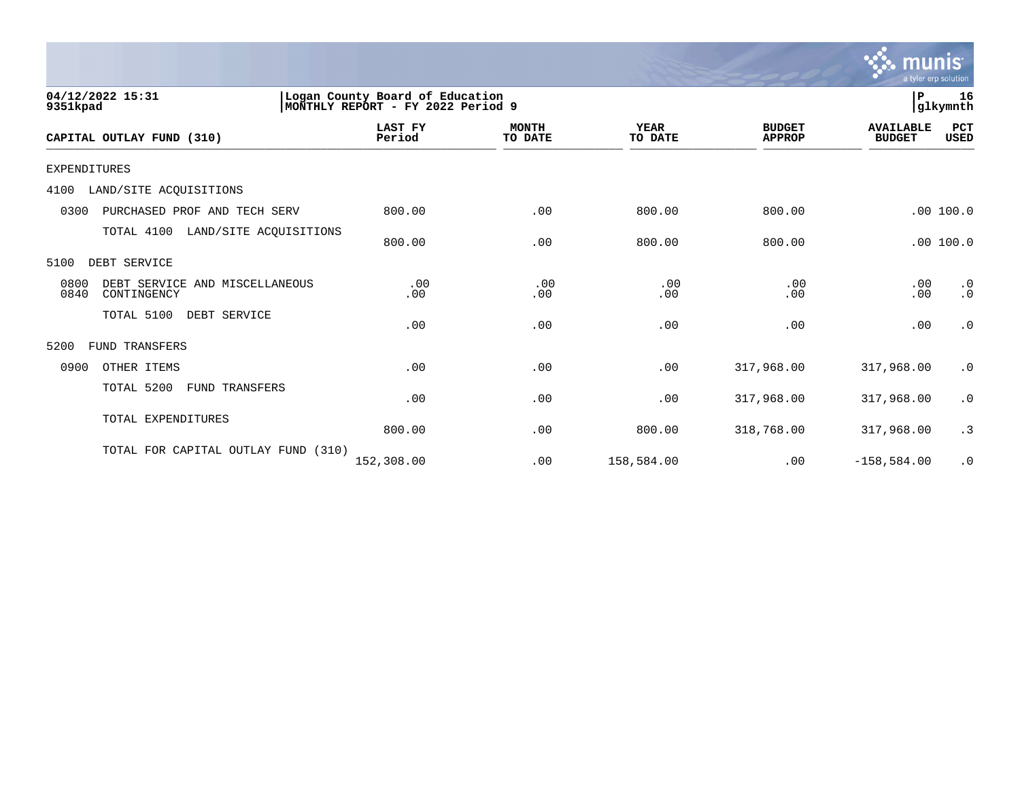

| 04/12/2022 15:31<br>9351kpad                                  |                     | ∣P<br>Logan County Board of Education<br>16<br>glkymnth<br>MONTHLY REPORT - FY 2022 Period 9 |                        |                                |                                   |                        |  |  |
|---------------------------------------------------------------|---------------------|----------------------------------------------------------------------------------------------|------------------------|--------------------------------|-----------------------------------|------------------------|--|--|
| CAPITAL OUTLAY FUND (310)                                     | LAST FY<br>Period   | <b>MONTH</b><br>TO DATE                                                                      | <b>YEAR</b><br>TO DATE | <b>BUDGET</b><br><b>APPROP</b> | <b>AVAILABLE</b><br><b>BUDGET</b> | PCT<br><b>USED</b>     |  |  |
| <b>EXPENDITURES</b>                                           |                     |                                                                                              |                        |                                |                                   |                        |  |  |
| 4100<br>LAND/SITE ACQUISITIONS                                |                     |                                                                                              |                        |                                |                                   |                        |  |  |
| 0300<br>PURCHASED PROF AND TECH SERV                          | 800.00              | .00                                                                                          | 800.00                 | 800.00                         |                                   | .00 100.0              |  |  |
| TOTAL 4100<br>LAND/SITE ACQUISITIONS                          | 800.00              | .00                                                                                          | 800.00                 | 800.00                         |                                   | .00100.0               |  |  |
| 5100<br>DEBT SERVICE                                          |                     |                                                                                              |                        |                                |                                   |                        |  |  |
| 0800<br>DEBT SERVICE AND MISCELLANEOUS<br>0840<br>CONTINGENCY | .00<br>.00          | .00<br>.00                                                                                   | .00<br>.00             | .00<br>.00                     | .00<br>.00                        | $\cdot$ 0<br>$\cdot$ 0 |  |  |
| TOTAL 5100<br>DEBT SERVICE                                    | .00                 | .00                                                                                          | .00                    | .00                            | .00                               | $\cdot$ 0              |  |  |
| 5200<br>FUND TRANSFERS                                        |                     |                                                                                              |                        |                                |                                   |                        |  |  |
| 0900<br>OTHER ITEMS                                           | .00                 | .00                                                                                          | .00                    | 317,968.00                     | 317,968.00                        | $\cdot$ 0              |  |  |
| FUND TRANSFERS<br>TOTAL 5200                                  | .00                 | .00                                                                                          | .00                    | 317,968.00                     | 317,968.00                        | $\cdot$ 0              |  |  |
| TOTAL EXPENDITURES                                            | 800.00              | .00                                                                                          | 800.00                 | 318,768.00                     | 317,968.00                        | .3                     |  |  |
| TOTAL FOR CAPITAL OUTLAY FUND                                 | (310)<br>152,308.00 | .00                                                                                          | 158,584.00             | .00                            | $-158,584.00$                     | $\cdot$ 0              |  |  |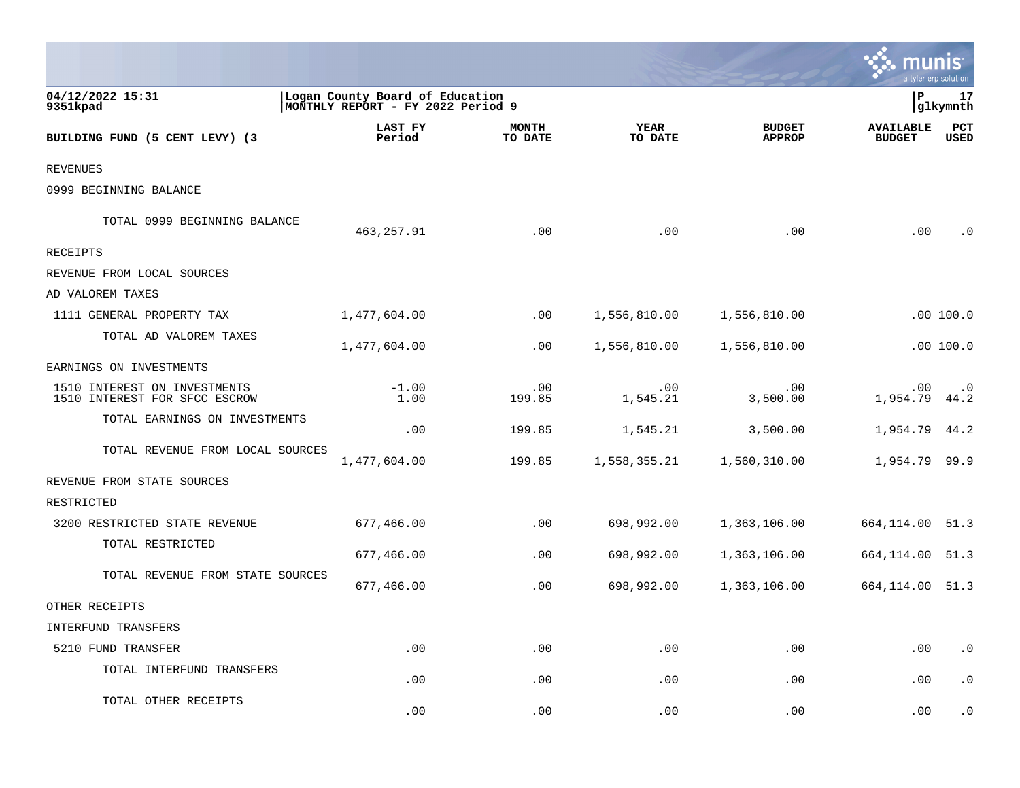|                                                               |                                                                      |                         |                             |                                |                                   | a tyler erp solution   |
|---------------------------------------------------------------|----------------------------------------------------------------------|-------------------------|-----------------------------|--------------------------------|-----------------------------------|------------------------|
| 04/12/2022 15:31<br>9351kpad                                  | Logan County Board of Education<br>MONTHLY REPORT - FY 2022 Period 9 |                         |                             |                                | P                                 | 17<br>glkymnth         |
| BUILDING FUND (5 CENT LEVY) (3                                | LAST FY<br>Period                                                    | <b>MONTH</b><br>TO DATE | <b>YEAR</b><br>TO DATE      | <b>BUDGET</b><br><b>APPROP</b> | <b>AVAILABLE</b><br><b>BUDGET</b> | PCT<br>USED            |
| <b>REVENUES</b>                                               |                                                                      |                         |                             |                                |                                   |                        |
| 0999 BEGINNING BALANCE                                        |                                                                      |                         |                             |                                |                                   |                        |
| TOTAL 0999 BEGINNING BALANCE                                  | 463,257.91                                                           | .00                     | .00                         | .00                            | $.00 \,$                          | $\cdot$ 0              |
| <b>RECEIPTS</b>                                               |                                                                      |                         |                             |                                |                                   |                        |
| REVENUE FROM LOCAL SOURCES                                    |                                                                      |                         |                             |                                |                                   |                        |
| AD VALOREM TAXES                                              |                                                                      |                         |                             |                                |                                   |                        |
| 1111 GENERAL PROPERTY TAX                                     | 1,477,604.00                                                         | $.00 \,$                | 1,556,810.00                | 1,556,810.00                   |                                   | .00 100.0              |
| TOTAL AD VALOREM TAXES                                        | 1,477,604.00                                                         | .00                     | 1,556,810.00                | 1,556,810.00                   |                                   | .00100.0               |
| EARNINGS ON INVESTMENTS                                       |                                                                      |                         |                             |                                |                                   |                        |
| 1510 INTEREST ON INVESTMENTS<br>1510 INTEREST FOR SFCC ESCROW | $-1.00$<br>1.00                                                      | .00<br>199.85           | .00<br>1,545.21             | .00<br>3,500.00                | $.00 \,$<br>1,954.79              | $\cdot$ 0<br>44.2      |
| TOTAL EARNINGS ON INVESTMENTS                                 | .00                                                                  | 199.85                  | 1,545.21                    | 3,500.00                       | 1,954.79                          | 44.2                   |
| TOTAL REVENUE FROM LOCAL SOURCES                              | 1,477,604.00                                                         | 199.85                  | 1,558,355.21                | 1,560,310.00                   | 1,954.79 99.9                     |                        |
| REVENUE FROM STATE SOURCES                                    |                                                                      |                         |                             |                                |                                   |                        |
| RESTRICTED                                                    |                                                                      |                         |                             |                                |                                   |                        |
| 3200 RESTRICTED STATE REVENUE                                 | 677,466.00                                                           | .00                     | 698,992.00                  | 1,363,106.00                   | 664, 114.00 51.3                  |                        |
| TOTAL RESTRICTED                                              | 677,466.00                                                           | .00                     | 698,992.00                  | 1,363,106.00                   | 664,114.00                        | 51.3                   |
| TOTAL REVENUE FROM STATE SOURCES                              | 677,466.00                                                           | .00                     | 698,992.00                  | 1,363,106.00                   | 664, 114.00 51.3                  |                        |
| OTHER RECEIPTS                                                |                                                                      |                         |                             |                                |                                   |                        |
| INTERFUND TRANSFERS                                           |                                                                      |                         |                             |                                |                                   |                        |
| 5210 FUND TRANSFER                                            | .00                                                                  | .00                     | .00                         | .00                            | .00                               | $\boldsymbol{\cdot}$ 0 |
| TOTAL INTERFUND TRANSFERS                                     | .00                                                                  | .00                     | .00                         | .00                            | .00                               | $\cdot$ 0              |
| TOTAL OTHER RECEIPTS                                          | .00                                                                  | .00                     | $\boldsymbol{\mathsf{.00}}$ | .00                            | .00                               | $\cdot$ 0              |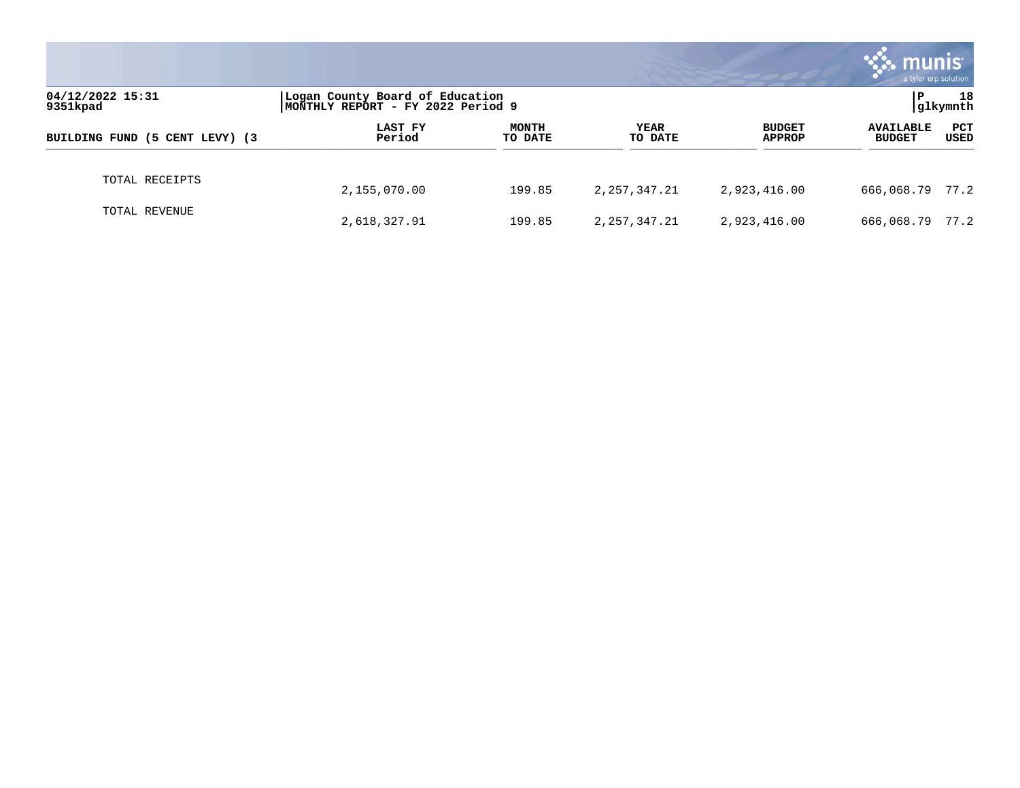|                                |                                                                      |                         |                        |                                | munis<br>a tyler erp solution     |             |  |
|--------------------------------|----------------------------------------------------------------------|-------------------------|------------------------|--------------------------------|-----------------------------------|-------------|--|
| 04/12/2022 15:31<br>9351kpad   | Logan County Board of Education<br>MONTHLY REPORT - FY 2022 Period 9 |                         |                        |                                | 18<br>P<br>glkymnth               |             |  |
| BUILDING FUND (5 CENT LEVY) (3 | LAST FY<br>Period                                                    | <b>MONTH</b><br>TO DATE | <b>YEAR</b><br>TO DATE | <b>BUDGET</b><br><b>APPROP</b> | <b>AVAILABLE</b><br><b>BUDGET</b> | PCT<br>USED |  |
| TOTAL RECEIPTS                 | 2,155,070.00                                                         | 199.85                  | 2, 257, 347. 21        | 2,923,416.00                   | 666,068.79 77.2                   |             |  |
| TOTAL REVENUE                  | 2,618,327.91                                                         | 199.85                  | 2, 257, 347. 21        | 2,923,416.00                   | 666,068.79                        | 77.2        |  |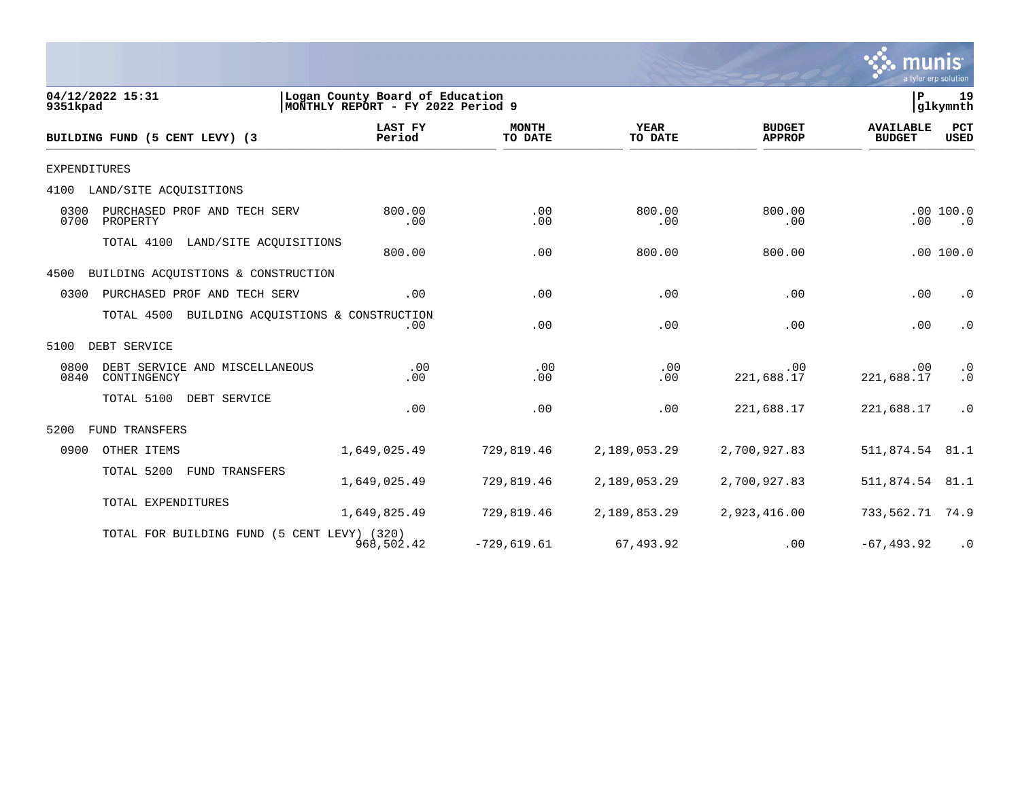

 $\frac{1}{\sqrt{2}}$ 

| 9351kpad            | 04/12/2022 15:31                               | Logan County Board of Education<br>MONTHLY REPORT - FY 2022 Period 9 |                         |                        |                                | P                                 | 19<br>glkymnth         |
|---------------------|------------------------------------------------|----------------------------------------------------------------------|-------------------------|------------------------|--------------------------------|-----------------------------------|------------------------|
|                     | BUILDING FUND (5 CENT LEVY) (3                 | <b>LAST FY</b><br>Period                                             | <b>MONTH</b><br>TO DATE | <b>YEAR</b><br>TO DATE | <b>BUDGET</b><br><b>APPROP</b> | <b>AVAILABLE</b><br><b>BUDGET</b> | <b>PCT</b><br>USED     |
| <b>EXPENDITURES</b> |                                                |                                                                      |                         |                        |                                |                                   |                        |
| 4100                | LAND/SITE ACQUISITIONS                         |                                                                      |                         |                        |                                |                                   |                        |
| 0300<br>0700        | PURCHASED PROF AND TECH SERV<br>PROPERTY       | 800.00<br>.00                                                        | .00<br>.00              | 800.00<br>.00          | 800.00<br>.00                  | .00                               | .00100.0<br>$\cdot$ 0  |
|                     | TOTAL 4100<br>LAND/SITE ACQUISITIONS           | 800.00                                                               | .00                     | 800.00                 | 800.00                         |                                   | .00100.0               |
| 4500                | BUILDING ACQUISTIONS & CONSTRUCTION            |                                                                      |                         |                        |                                |                                   |                        |
| 0300                | PURCHASED PROF AND TECH SERV                   | .00                                                                  | .00                     | .00                    | .00                            | .00                               | $\cdot$ 0              |
|                     | TOTAL 4500 BUILDING ACQUISTIONS & CONSTRUCTION | .00                                                                  | .00                     | .00                    | .00                            | .00                               | $\cdot$ 0              |
| 5100                | DEBT SERVICE                                   |                                                                      |                         |                        |                                |                                   |                        |
| 0800<br>0840        | DEBT SERVICE AND MISCELLANEOUS<br>CONTINGENCY  | .00<br>.00                                                           | .00<br>.00              | .00<br>.00             | .00<br>221,688.17              | .00<br>221,688.17                 | $\cdot$ 0<br>$\cdot$ 0 |
|                     | TOTAL 5100<br>DEBT SERVICE                     | .00                                                                  | .00                     | .00                    | 221,688.17                     | 221,688.17                        | $\cdot$ 0              |
| 5200                | <b>FUND TRANSFERS</b>                          |                                                                      |                         |                        |                                |                                   |                        |
| 0900                | OTHER ITEMS                                    | 1,649,025.49                                                         | 729,819.46              | 2,189,053.29           | 2,700,927.83                   | 511,874.54                        | 81.1                   |
|                     | TOTAL 5200<br>FUND TRANSFERS                   | 1,649,025.49                                                         | 729,819.46              | 2,189,053.29           | 2,700,927.83                   | 511,874.54                        | 81.1                   |
|                     | TOTAL EXPENDITURES                             | 1,649,825.49                                                         | 729,819.46              | 2,189,853.29           | 2,923,416.00                   | 733,562.71                        | 74.9                   |
|                     | TOTAL FOR BUILDING FUND (5 CENT LEVY) (320)    | 968,502.42                                                           | $-729,619.61$           | 67,493.92              | .00                            | $-67, 493.92$                     | $\cdot$ 0              |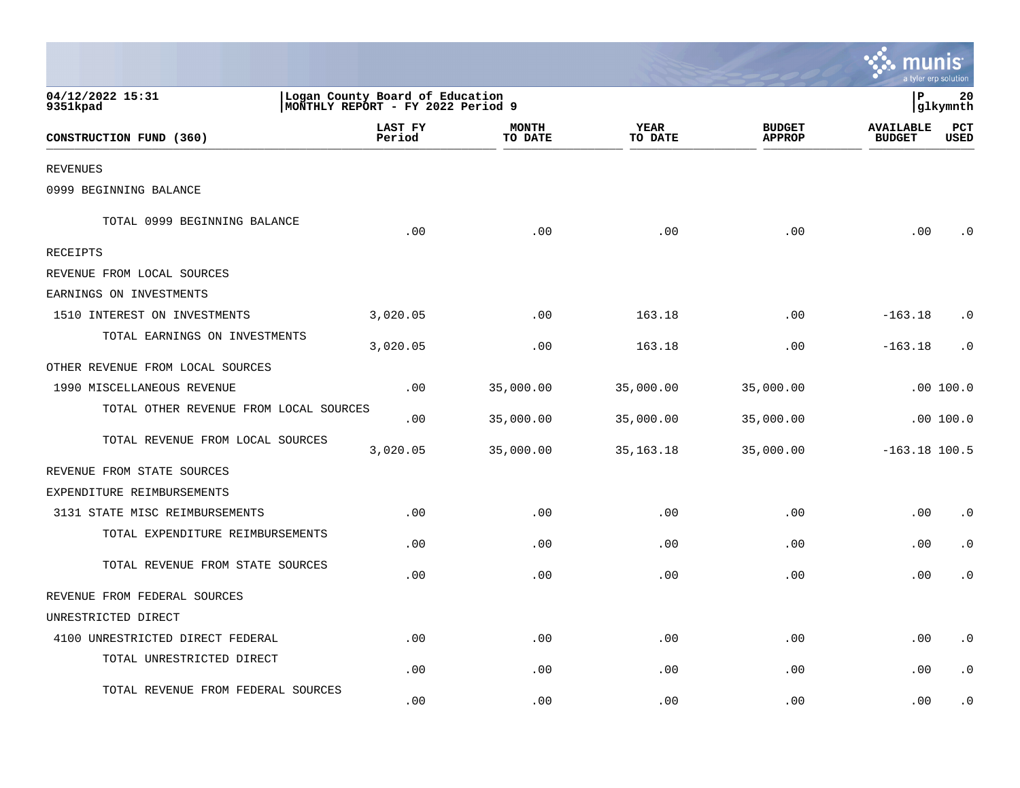|                                        |                                                                      |                         |                 |                                | a tyler erp solution              |                    |
|----------------------------------------|----------------------------------------------------------------------|-------------------------|-----------------|--------------------------------|-----------------------------------|--------------------|
| 04/12/2022 15:31<br>9351kpad           | Logan County Board of Education<br>MONTHLY REPORT - FY 2022 Period 9 |                         |                 | P<br> glkymnth                 |                                   |                    |
| CONSTRUCTION FUND (360)                | LAST FY<br>Period                                                    | <b>MONTH</b><br>TO DATE | YEAR<br>TO DATE | <b>BUDGET</b><br><b>APPROP</b> | <b>AVAILABLE</b><br><b>BUDGET</b> | PCT<br><b>USED</b> |
| <b>REVENUES</b>                        |                                                                      |                         |                 |                                |                                   |                    |
| 0999 BEGINNING BALANCE                 |                                                                      |                         |                 |                                |                                   |                    |
| TOTAL 0999 BEGINNING BALANCE           | .00                                                                  | .00                     | .00             | .00                            | .00                               | . 0                |
| RECEIPTS                               |                                                                      |                         |                 |                                |                                   |                    |
| REVENUE FROM LOCAL SOURCES             |                                                                      |                         |                 |                                |                                   |                    |
| EARNINGS ON INVESTMENTS                |                                                                      |                         |                 |                                |                                   |                    |
| 1510 INTEREST ON INVESTMENTS           | 3,020.05                                                             | .00                     | 163.18          | .00                            | $-163.18$                         | . 0                |
| TOTAL EARNINGS ON INVESTMENTS          | 3,020.05                                                             | .00                     | 163.18          | .00                            | $-163.18$                         | . 0                |
| OTHER REVENUE FROM LOCAL SOURCES       |                                                                      |                         |                 |                                |                                   |                    |
| 1990 MISCELLANEOUS REVENUE             | .00                                                                  | 35,000.00               | 35,000.00       | 35,000.00                      |                                   | .00100.0           |
| TOTAL OTHER REVENUE FROM LOCAL SOURCES | .00                                                                  | 35,000.00               | 35,000.00       | 35,000.00                      |                                   | .00100.0           |
| TOTAL REVENUE FROM LOCAL SOURCES       | 3,020.05                                                             | 35,000.00               | 35,163.18       | 35,000.00                      | $-163.18$ 100.5                   |                    |
| REVENUE FROM STATE SOURCES             |                                                                      |                         |                 |                                |                                   |                    |
| EXPENDITURE REIMBURSEMENTS             |                                                                      |                         |                 |                                |                                   |                    |
| 3131 STATE MISC REIMBURSEMENTS         | .00                                                                  | .00                     | .00             | .00                            | .00                               | $\cdot$ 0          |
| TOTAL EXPENDITURE REIMBURSEMENTS       | .00                                                                  | .00                     | .00             | .00                            | .00                               | $\cdot$ 0          |
| TOTAL REVENUE FROM STATE SOURCES       | .00                                                                  | .00                     | .00             | .00                            | .00                               | . 0                |
| REVENUE FROM FEDERAL SOURCES           |                                                                      |                         |                 |                                |                                   |                    |
| UNRESTRICTED DIRECT                    |                                                                      |                         |                 |                                |                                   |                    |
| 4100 UNRESTRICTED DIRECT FEDERAL       | .00                                                                  | .00                     | .00             | .00                            | .00                               | $\cdot$ 0          |
| TOTAL UNRESTRICTED DIRECT              | .00                                                                  | .00                     | .00             | .00                            | .00                               | $\cdot$ 0          |
| TOTAL REVENUE FROM FEDERAL SOURCES     | .00                                                                  | .00                     | .00             | .00                            | .00                               | . 0                |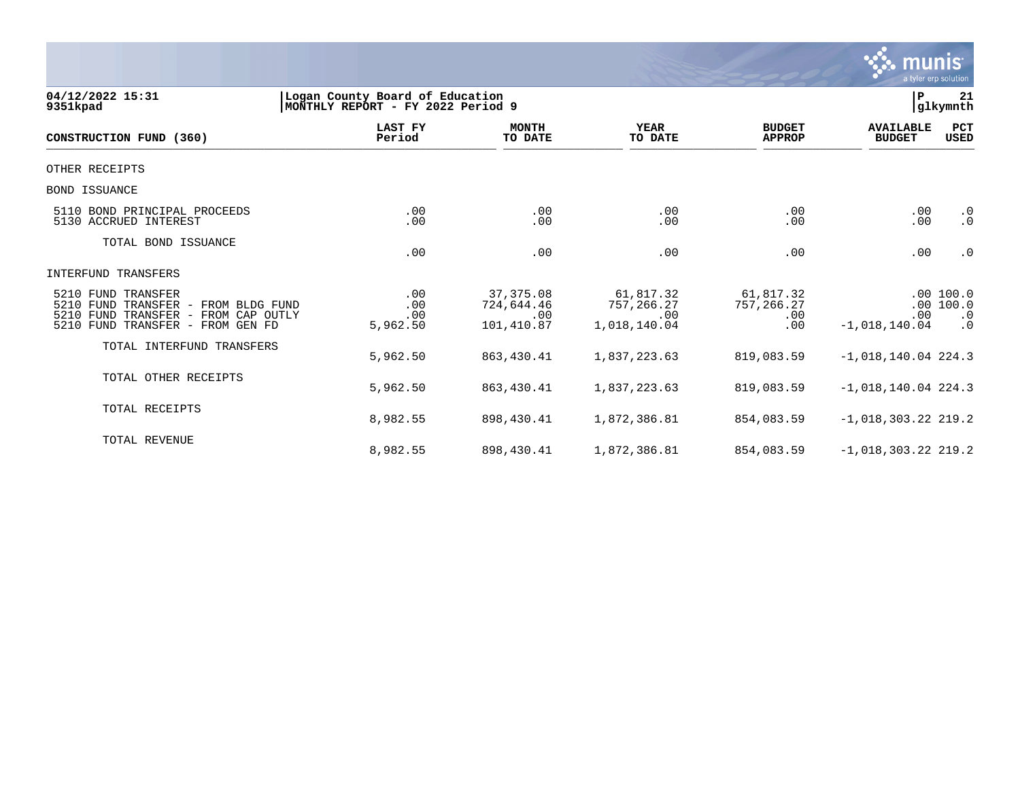

| 04/12/2022 15:31<br>9351kpad                                                                                                            | l P<br>Logan County Board of Education<br>21<br>glkymnth<br>MONTHLY REPORT - FY 2022 Period 9 |                                               |                                                |                                        |                                   |                                                 |  |  |  |
|-----------------------------------------------------------------------------------------------------------------------------------------|-----------------------------------------------------------------------------------------------|-----------------------------------------------|------------------------------------------------|----------------------------------------|-----------------------------------|-------------------------------------------------|--|--|--|
| CONSTRUCTION FUND (360)                                                                                                                 | <b>LAST FY</b><br>Period                                                                      | <b>MONTH</b><br>TO DATE                       | <b>YEAR</b><br>TO DATE                         | <b>BUDGET</b><br><b>APPROP</b>         | <b>AVAILABLE</b><br><b>BUDGET</b> | PCT<br><b>USED</b>                              |  |  |  |
| OTHER RECEIPTS                                                                                                                          |                                                                                               |                                               |                                                |                                        |                                   |                                                 |  |  |  |
| <b>BOND ISSUANCE</b>                                                                                                                    |                                                                                               |                                               |                                                |                                        |                                   |                                                 |  |  |  |
| 5110 BOND PRINCIPAL PROCEEDS<br>5130 ACCRUED INTEREST                                                                                   | .00<br>.00                                                                                    | .00<br>.00                                    | .00<br>.00                                     | .00<br>.00                             | .00<br>.00                        | $\cdot$ 0<br>$\cdot$ 0                          |  |  |  |
| TOTAL BOND ISSUANCE                                                                                                                     | .00                                                                                           | .00                                           | .00                                            | .00                                    | .00                               | $\cdot$ 0                                       |  |  |  |
| INTERFUND TRANSFERS                                                                                                                     |                                                                                               |                                               |                                                |                                        |                                   |                                                 |  |  |  |
| 5210 FUND TRANSFER<br>5210 FUND<br>TRANSFER - FROM BLDG FUND<br>5210 FUND TRANSFER - FROM CAP OUTLY<br>5210 FUND TRANSFER - FROM GEN FD | .00<br>.00<br>.00<br>5,962.50                                                                 | 37, 375.08<br>724,644.46<br>.00<br>101,410.87 | 61,817.32<br>757,266.27<br>.00<br>1,018,140.04 | 61,817.32<br>757, 266.27<br>.00<br>.00 | .00<br>$-1,018,140.04$            | .00100.0<br>.00 100.0<br>$\cdot$ 0<br>$\cdot$ 0 |  |  |  |
| TOTAL INTERFUND TRANSFERS                                                                                                               | 5,962.50                                                                                      | 863, 430.41                                   | 1,837,223.63                                   | 819,083.59                             | $-1,018,140.04$ 224.3             |                                                 |  |  |  |
| TOTAL OTHER RECEIPTS                                                                                                                    | 5,962.50                                                                                      | 863, 430.41                                   | 1,837,223.63                                   | 819,083.59                             | $-1,018,140.04$ 224.3             |                                                 |  |  |  |
| TOTAL RECEIPTS                                                                                                                          | 8,982.55                                                                                      | 898,430.41                                    | 1,872,386.81                                   | 854,083.59                             | $-1,018,303.22$ 219.2             |                                                 |  |  |  |
| <b>TOTAL REVENUE</b>                                                                                                                    | 8,982.55                                                                                      | 898, 430.41                                   | 1,872,386.81                                   | 854,083.59                             | $-1,018,303.22$ 219.2             |                                                 |  |  |  |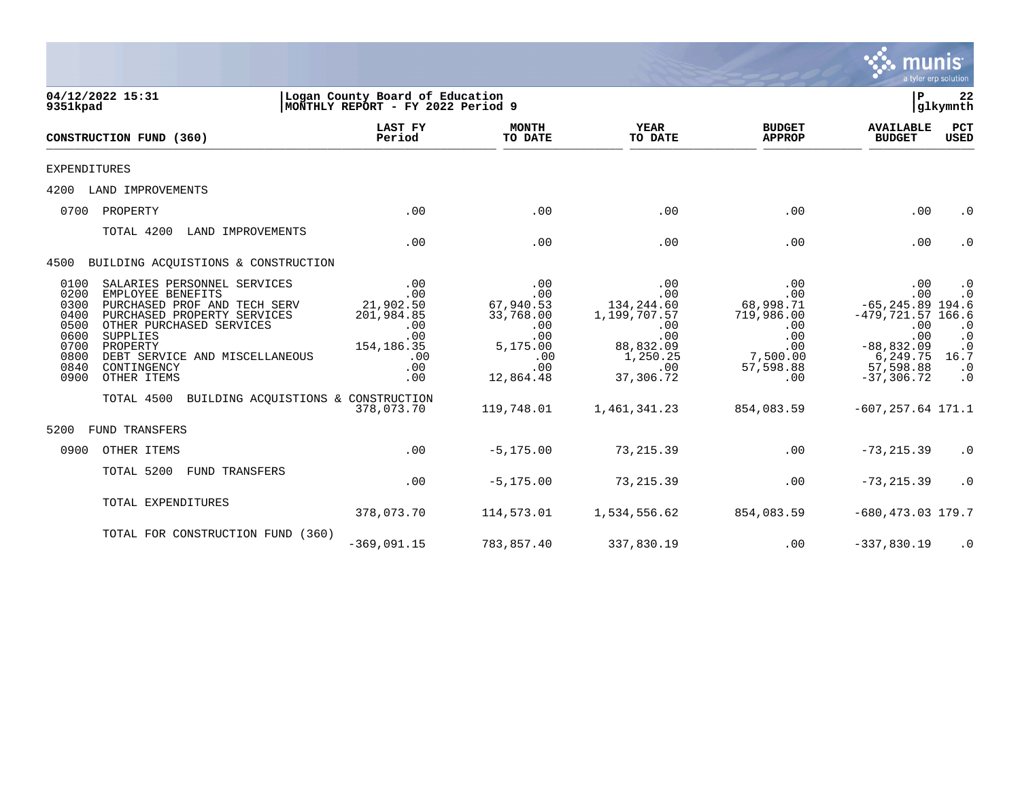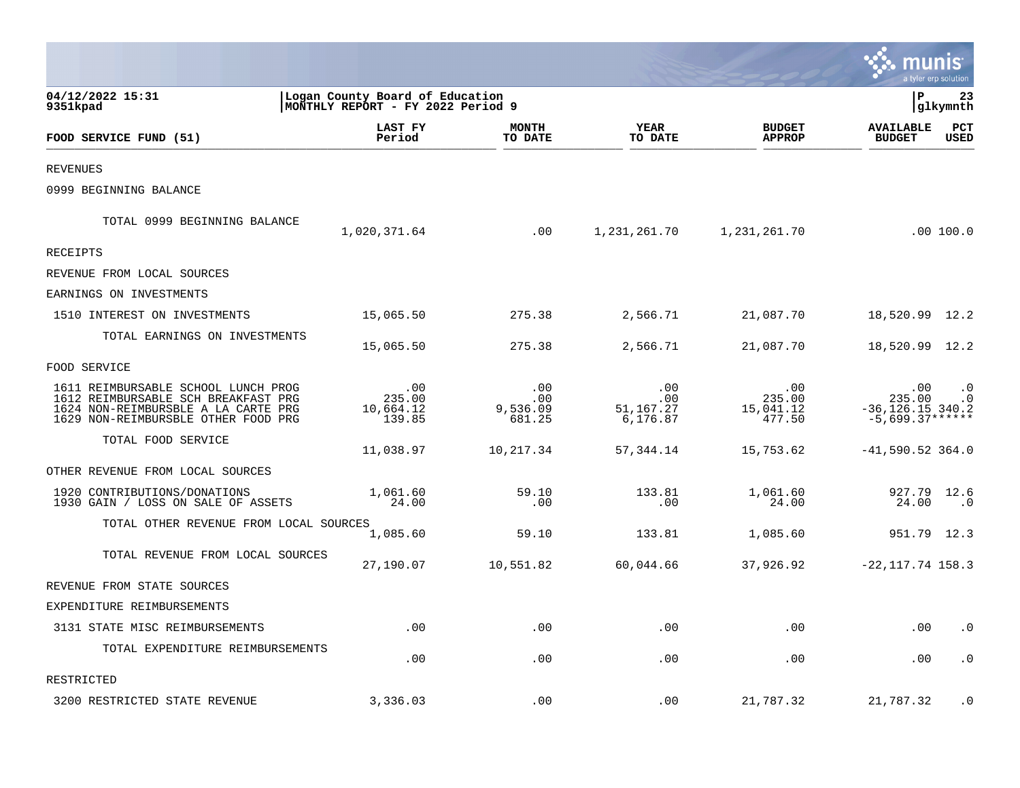|                                                                                                                                                          |                                                                      |                                  |                                               |                                      |                                                                | a tyler erp solution   |
|----------------------------------------------------------------------------------------------------------------------------------------------------------|----------------------------------------------------------------------|----------------------------------|-----------------------------------------------|--------------------------------------|----------------------------------------------------------------|------------------------|
| 04/12/2022 15:31<br>9351kpad                                                                                                                             | Logan County Board of Education<br>MONTHLY REPORT - FY 2022 Period 9 |                                  |                                               |                                      | ΙP                                                             | 23<br>glkymnth         |
| FOOD SERVICE FUND (51)                                                                                                                                   | LAST FY<br>Period                                                    | <b>MONTH</b><br>TO DATE          | YEAR<br>TO DATE                               | <b>BUDGET</b><br><b>APPROP</b>       | <b>AVAILABLE</b><br><b>BUDGET</b>                              | PCT<br>USED            |
| <b>REVENUES</b>                                                                                                                                          |                                                                      |                                  |                                               |                                      |                                                                |                        |
| 0999 BEGINNING BALANCE                                                                                                                                   |                                                                      |                                  |                                               |                                      |                                                                |                        |
| TOTAL 0999 BEGINNING BALANCE                                                                                                                             | 1,020,371.64                                                         | .00                              | 1,231,261.70                                  | 1,231,261.70                         |                                                                | .00100.0               |
| <b>RECEIPTS</b>                                                                                                                                          |                                                                      |                                  |                                               |                                      |                                                                |                        |
| REVENUE FROM LOCAL SOURCES                                                                                                                               |                                                                      |                                  |                                               |                                      |                                                                |                        |
| EARNINGS ON INVESTMENTS                                                                                                                                  |                                                                      |                                  |                                               |                                      |                                                                |                        |
| 1510 INTEREST ON INVESTMENTS                                                                                                                             | 15,065.50                                                            | 275.38                           | 2,566.71                                      | 21,087.70                            | 18,520.99 12.2                                                 |                        |
| TOTAL EARNINGS ON INVESTMENTS                                                                                                                            | 15,065.50                                                            | 275.38                           | 2,566.71                                      | 21,087.70                            | 18,520.99 12.2                                                 |                        |
| FOOD SERVICE                                                                                                                                             |                                                                      |                                  |                                               |                                      |                                                                |                        |
| 1611 REIMBURSABLE SCHOOL LUNCH PROG<br>1612 REIMBURSABLE SCH BREAKFAST PRG<br>1624 NON-REIMBURSBLE A LA CARTE PRG<br>1629 NON-REIMBURSBLE OTHER FOOD PRG | .00<br>235.00<br>10,664.12<br>139.85                                 | .00<br>.00<br>9,536.09<br>681.25 | $.00 \,$<br>$.00 \,$<br>51,167.27<br>6,176.87 | .00<br>235.00<br>15,041.12<br>477.50 | $.00 \,$<br>235.00<br>$-36, 126.15$ 340.2<br>$-5,699.37******$ | $\cdot$ 0<br>$\cdot$ 0 |
| TOTAL FOOD SERVICE                                                                                                                                       | 11,038.97                                                            | 10,217.34                        | 57,344.14                                     | 15,753.62                            | $-41,590.52$ 364.0                                             |                        |
| OTHER REVENUE FROM LOCAL SOURCES                                                                                                                         |                                                                      |                                  |                                               |                                      |                                                                |                        |
| 1920 CONTRIBUTIONS/DONATIONS<br>1930 GAIN / LOSS ON SALE OF ASSETS                                                                                       | 1,061.60<br>24.00                                                    | 59.10<br>.00                     | 133.81<br>.00                                 | 1,061.60<br>24.00                    | 927.79<br>24.00                                                | 12.6<br>$\cdot$ 0      |
| TOTAL OTHER REVENUE FROM LOCAL SOURCES                                                                                                                   | 1,085.60                                                             | 59.10                            | 133.81                                        | 1,085.60                             | 951.79 12.3                                                    |                        |
| TOTAL REVENUE FROM LOCAL SOURCES                                                                                                                         | 27,190.07                                                            | 10,551.82                        | 60,044.66                                     | 37,926.92                            | $-22, 117.74$ 158.3                                            |                        |
| REVENUE FROM STATE SOURCES                                                                                                                               |                                                                      |                                  |                                               |                                      |                                                                |                        |
| EXPENDITURE REIMBURSEMENTS                                                                                                                               |                                                                      |                                  |                                               |                                      |                                                                |                        |
| 3131 STATE MISC REIMBURSEMENTS                                                                                                                           | .00                                                                  | .00                              | .00                                           | .00                                  | .00                                                            | $\cdot$ 0              |
| TOTAL EXPENDITURE REIMBURSEMENTS                                                                                                                         | .00                                                                  | .00                              | .00                                           | .00                                  | .00                                                            | $\cdot$ 0              |
| RESTRICTED                                                                                                                                               |                                                                      |                                  |                                               |                                      |                                                                |                        |
| 3200 RESTRICTED STATE REVENUE                                                                                                                            | 3,336.03                                                             | .00                              | .00                                           | 21,787.32                            | 21,787.32                                                      | $\cdot$ 0              |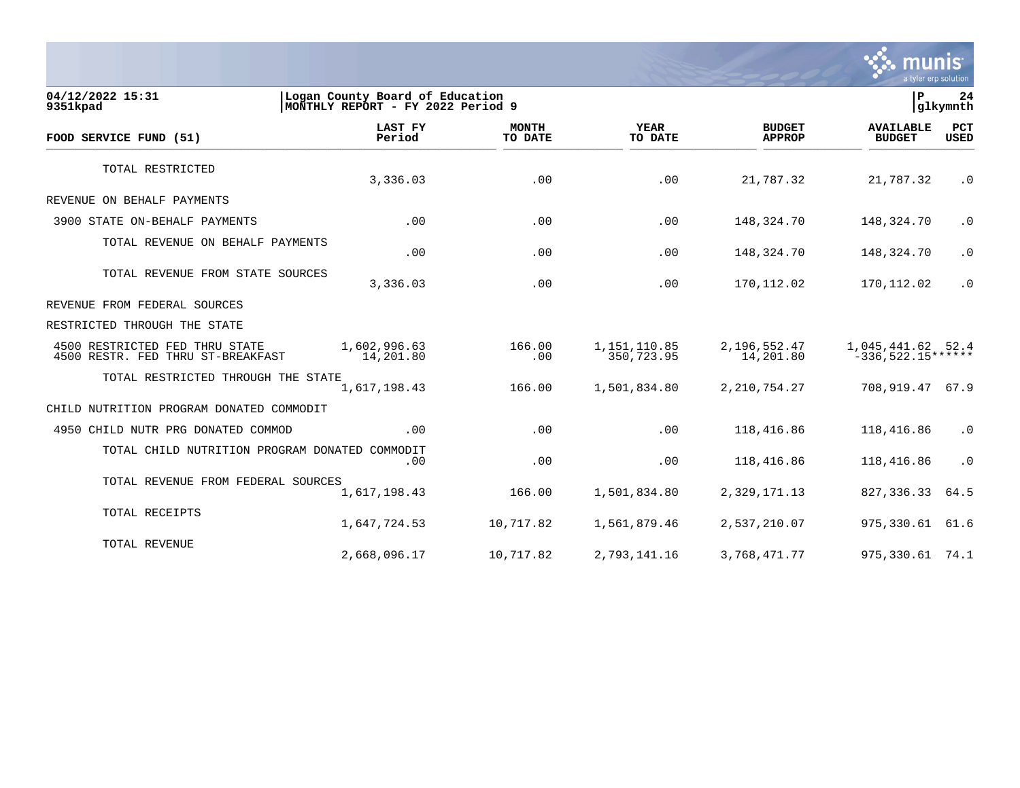

**04/12/2022 15:31 |Logan County Board of Education |P 24** MONTHLY REPORT - FY 2022 Period 9  **LAST FY MONTH YEAR BUDGET AVAILABLE PCT FOOD SERVICE FUND (51) Period TO DATE TO DATE APPROP BUDGET USED**  $\frac{10 \text{ BFR}}{10 \text{ BFR}}$ TOTAL RESTRICTED 3,336.03 .00 .00 21,787.32 21,787.32 .0 REVENUE ON BEHALF PAYMENTS 3900 STATE ON-BEHALF PAYMENTS .00 .00 .00 148,324.70 148,324.70 .0 TOTAL REVENUE ON BEHALF PAYMENTS .00 .00 .00 148,324.70 148,324.70 .0 TOTAL REVENUE FROM STATE SOURCES 0. 3,336.03 170,112.02 170,112.02 170,112.02 170,112.02 1 REVENUE FROM FEDERAL SOURCES RESTRICTED THROUGH THE STATE 4500 RESTRICTED FED THRU STATE 1,602,996.63 166.00 1,151,110.85 2,196,552.47 1,045,441.62 52.4 4500 RESTR. FED THRU ST-BREAKFAST TOTAL RESTRICTED THROUGH THE STATE 1,617,198.43 1,617,198.43 166.00 1,501,834.80 2,210,754.27 708,919.47 67.9 CHILD NUTRITION PROGRAM DONATED COMMODIT 4950 CHILD NUTR PRG DONATED COMMOD .00 .00 .00 118,416.86 118,416.86 .0 TOTAL CHILD NUTRITION PROGRAM DONATED COMMODIT .00 .00 .00 118,416.86 118,416.86 .0 TOTAL REVENUE FROM FEDERAL SOURCES 1,617,198.43 166.00 1,501,834.80 2,329,171.13 827,336.33 64.5 TOTAL RECEIPTS 1,647,724.53 10,717.82 1,561,879.46 2,537,210.07 975,330.61 61.6 TOTAL REVENUE 2,668,096.17 10,717.82 2,793,141.16 3,768,471.77 975,330.61 74.1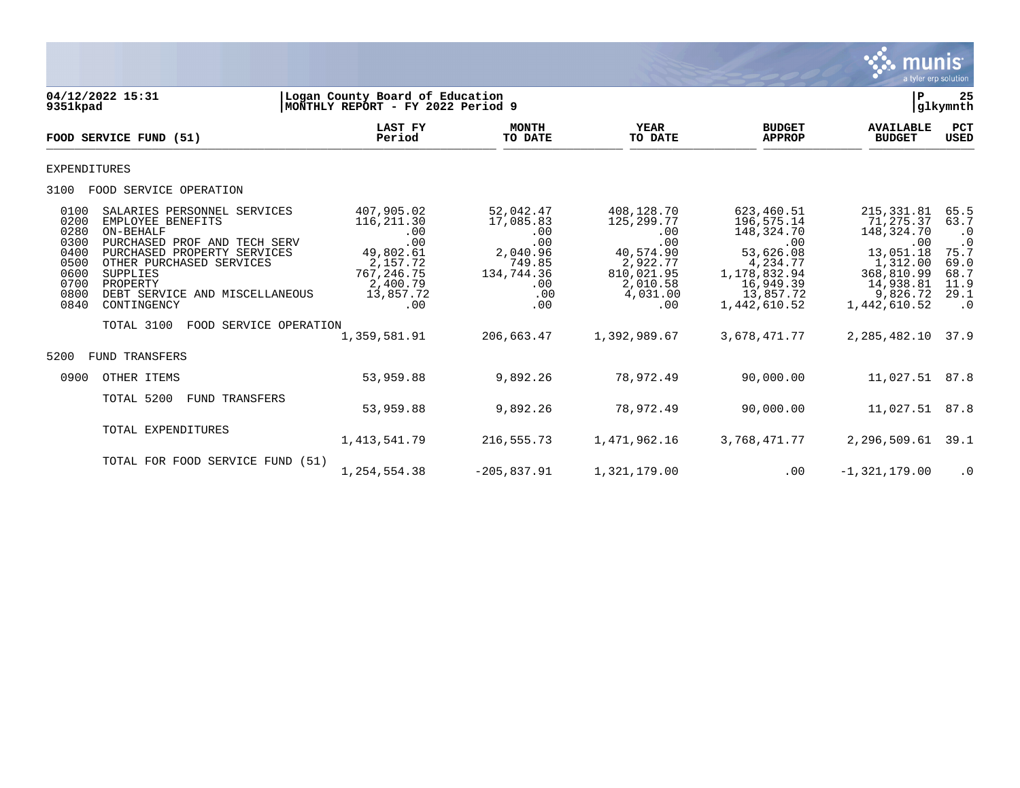

| 9351kpad                                                                     | 04/12/2022 15:31                                                                                                                                                                                                                                                          | Logan County Board of Education<br>MONTHLY REPORT - FY 2022 Period 9                                                            |                                                                                                             |                                                                                                                                |                                                                                                                                                  | P                                                                                                                                             | 25<br> glkymnth                                                                                     |
|------------------------------------------------------------------------------|---------------------------------------------------------------------------------------------------------------------------------------------------------------------------------------------------------------------------------------------------------------------------|---------------------------------------------------------------------------------------------------------------------------------|-------------------------------------------------------------------------------------------------------------|--------------------------------------------------------------------------------------------------------------------------------|--------------------------------------------------------------------------------------------------------------------------------------------------|-----------------------------------------------------------------------------------------------------------------------------------------------|-----------------------------------------------------------------------------------------------------|
|                                                                              | FOOD SERVICE FUND (51)                                                                                                                                                                                                                                                    | LAST FY<br>Period                                                                                                               | <b>MONTH</b><br>TO DATE                                                                                     | <b>YEAR</b><br>TO DATE                                                                                                         | <b>BUDGET</b><br><b>APPROP</b>                                                                                                                   | <b>AVAILABLE</b><br><b>BUDGET</b>                                                                                                             | PCT<br><b>USED</b>                                                                                  |
| <b>EXPENDITURES</b>                                                          |                                                                                                                                                                                                                                                                           |                                                                                                                                 |                                                                                                             |                                                                                                                                |                                                                                                                                                  |                                                                                                                                               |                                                                                                     |
| 3100                                                                         | FOOD SERVICE OPERATION                                                                                                                                                                                                                                                    |                                                                                                                                 |                                                                                                             |                                                                                                                                |                                                                                                                                                  |                                                                                                                                               |                                                                                                     |
| 0100<br>0200<br>0280<br>0300<br>0400<br>0500<br>0600<br>0700<br>0800<br>0840 | SALARIES PERSONNEL SERVICES<br>EMPLOYEE BENEFITS<br>ON-BEHALF<br>PURCHASED PROF AND TECH SERV<br>PURCHASED PROPERTY SERVICES<br>OTHER PURCHASED SERVICES<br>SUPPLIES<br>PROPERTY<br>DEBT SERVICE AND MISCELLANEOUS<br>CONTINGENCY<br>TOTAL 3100<br>FOOD SERVICE OPERATION | 407,905.02<br>116, 211.30<br>.00<br>.00<br>49,802.61<br>2,157.72<br>767, 246.75<br>2,400.79<br>13,857.72<br>.00<br>1,359,581.91 | 52,042.47<br>17,085.83<br>.00<br>.00<br>2,040.96<br>749.85<br>134,744.36<br>.00<br>.00<br>.00<br>206,663.47 | 408,128.70<br>125, 299. 77<br>.00<br>.00<br>40,574.90<br>2,922.77<br>810,021.95<br>2,010.58<br>4,031.00<br>.00<br>1,392,989.67 | 623,460.51<br>196,575.14<br>148,324.70<br>.00<br>53,626.08<br>4,234.77<br>1,178,832.94<br>16,949.39<br>13,857.72<br>1,442,610.52<br>3,678,471.77 | 215, 331.81<br>71,275.37<br>148,324.70<br>.00<br>13,051.18<br>1,312.00<br>368,810.99<br>14,938.81<br>9,826.72<br>1,442,610.52<br>2,285,482.10 | 65.5<br>63.7<br>$\cdot$ 0<br>$\cdot$ 0<br>75.7<br>69.0<br>68.7<br>11.9<br>29.1<br>$\cdot$ 0<br>37.9 |
| 5200                                                                         | TRANSFERS<br>FUND                                                                                                                                                                                                                                                         |                                                                                                                                 |                                                                                                             |                                                                                                                                |                                                                                                                                                  |                                                                                                                                               |                                                                                                     |
| 0900                                                                         | OTHER ITEMS                                                                                                                                                                                                                                                               | 53,959.88                                                                                                                       | 9,892.26                                                                                                    | 78,972.49                                                                                                                      | 90,000.00                                                                                                                                        | 11,027.51 87.8                                                                                                                                |                                                                                                     |
|                                                                              | TOTAL 5200<br><b>FUND TRANSFERS</b>                                                                                                                                                                                                                                       | 53,959.88                                                                                                                       | 9,892.26                                                                                                    | 78,972.49                                                                                                                      | 90,000.00                                                                                                                                        | 11,027.51                                                                                                                                     | 87.8                                                                                                |
|                                                                              | TOTAL EXPENDITURES                                                                                                                                                                                                                                                        | 1, 413, 541.79                                                                                                                  | 216,555.73                                                                                                  | 1,471,962.16                                                                                                                   | 3,768,471.77                                                                                                                                     | 2,296,509.61                                                                                                                                  | 39.1                                                                                                |
|                                                                              | TOTAL FOR FOOD SERVICE FUND (51)                                                                                                                                                                                                                                          | 1,254,554.38                                                                                                                    | $-205,837.91$                                                                                               | 1,321,179.00                                                                                                                   | .00                                                                                                                                              | $-1,321,179.00$                                                                                                                               | $\cdot$ 0                                                                                           |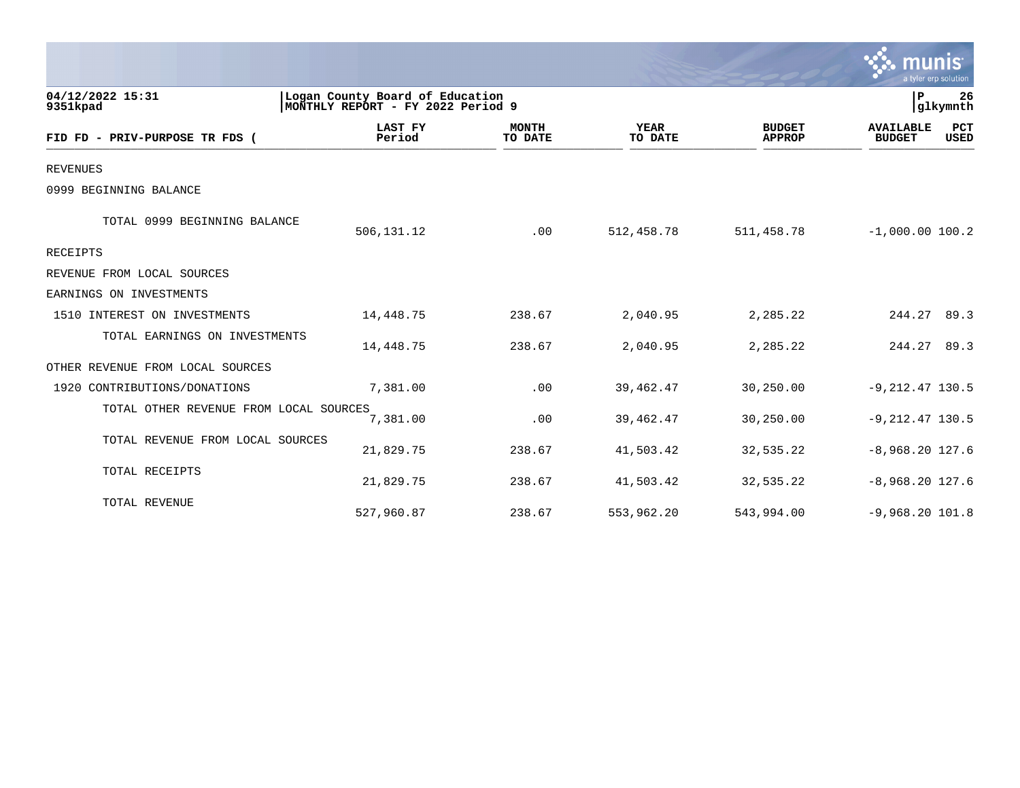|                                        |                                                                      |                         |                        |                                | munis<br>a tyler erp solution                           |
|----------------------------------------|----------------------------------------------------------------------|-------------------------|------------------------|--------------------------------|---------------------------------------------------------|
| 04/12/2022 15:31<br>9351kpad           | Logan County Board of Education<br>MONTHLY REPORT - FY 2022 Period 9 |                         |                        |                                | $\mathbf P$<br>26<br>glkymnth                           |
| FID FD - PRIV-PURPOSE TR FDS (         | LAST FY<br>Period                                                    | <b>MONTH</b><br>TO DATE | <b>YEAR</b><br>TO DATE | <b>BUDGET</b><br><b>APPROP</b> | PCT<br><b>AVAILABLE</b><br><b>BUDGET</b><br><b>USED</b> |
| <b>REVENUES</b>                        |                                                                      |                         |                        |                                |                                                         |
| 0999 BEGINNING BALANCE                 |                                                                      |                         |                        |                                |                                                         |
| TOTAL 0999 BEGINNING BALANCE           | 506, 131. 12                                                         | .00                     | 512,458.78             | 511,458.78                     | $-1,000.00$ 100.2                                       |
| RECEIPTS                               |                                                                      |                         |                        |                                |                                                         |
| REVENUE FROM LOCAL SOURCES             |                                                                      |                         |                        |                                |                                                         |
| EARNINGS ON INVESTMENTS                |                                                                      |                         |                        |                                |                                                         |
| 1510 INTEREST ON INVESTMENTS           | 14,448.75                                                            | 238.67                  | 2,040.95               | 2,285.22                       | 244.27 89.3                                             |
| TOTAL EARNINGS ON INVESTMENTS          | 14,448.75                                                            | 238.67                  | 2,040.95               | 2,285.22                       | 244.27 89.3                                             |
| OTHER REVENUE FROM LOCAL SOURCES       |                                                                      |                         |                        |                                |                                                         |
| 1920 CONTRIBUTIONS/DONATIONS           | 7,381.00                                                             | .00                     | 39,462.47              | 30,250.00                      | $-9, 212.47$ 130.5                                      |
| TOTAL OTHER REVENUE FROM LOCAL SOURCES | 7,381.00                                                             | .00                     | 39,462.47              | 30,250.00                      | $-9, 212.47$ 130.5                                      |
| TOTAL REVENUE FROM LOCAL SOURCES       | 21,829.75                                                            | 238.67                  | 41,503.42              | 32,535.22                      | $-8,968.20$ 127.6                                       |
| TOTAL RECEIPTS                         | 21,829.75                                                            | 238.67                  | 41,503.42              | 32,535.22                      | $-8,968.20$ 127.6                                       |
| TOTAL REVENUE                          | 527,960.87                                                           | 238.67                  | 553,962.20             | 543,994.00                     | $-9,968.20 101.8$                                       |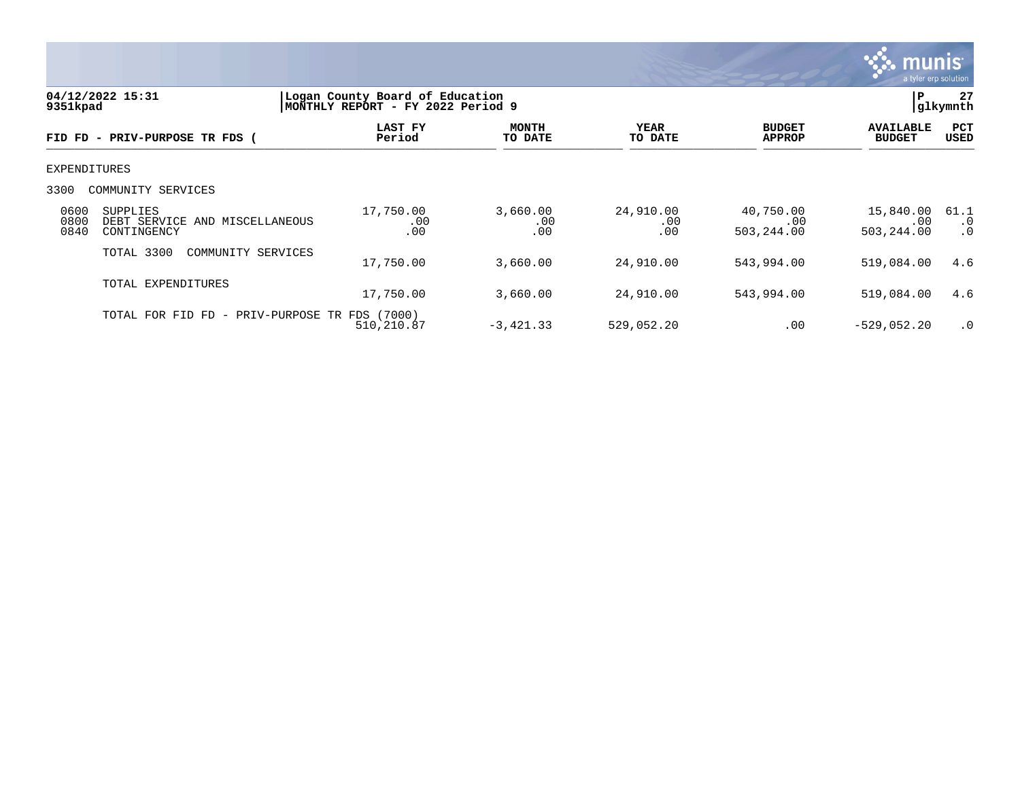

| 04/12/2022 15:31<br>9351kpad |                                                                  | Logan County Board of Education<br>MONTHLY REPORT - FY 2022 Period 9 |                         |                         |                                | 27<br>P<br>glkymnth               |                                |
|------------------------------|------------------------------------------------------------------|----------------------------------------------------------------------|-------------------------|-------------------------|--------------------------------|-----------------------------------|--------------------------------|
|                              | FID FD - PRIV-PURPOSE TR FDS (                                   | LAST FY<br>Period                                                    | <b>MONTH</b><br>TO DATE | YEAR<br>TO DATE         | <b>BUDGET</b><br><b>APPROP</b> | <b>AVAILABLE</b><br><b>BUDGET</b> | <b>PCT</b><br>USED             |
| EXPENDITURES                 |                                                                  |                                                                      |                         |                         |                                |                                   |                                |
| 3300                         | COMMUNITY SERVICES                                               |                                                                      |                         |                         |                                |                                   |                                |
| 0600<br>0800<br>0840         | <b>SUPPLIES</b><br>DEBT SERVICE AND MISCELLANEOUS<br>CONTINGENCY | 17,750.00<br>.00<br>.00                                              | 3,660.00<br>.00<br>.00  | 24,910.00<br>.00<br>.00 | 40,750.00<br>.00<br>503,244.00 | 15,840.00<br>.00<br>503,244.00    | 61.1<br>$\cdot$ 0<br>$\cdot$ 0 |
|                              | TOTAL 3300<br>COMMUNITY SERVICES                                 | 17,750.00                                                            | 3,660.00                | 24,910.00               | 543,994.00                     | 519,084.00                        | 4.6                            |
|                              | TOTAL EXPENDITURES                                               | 17,750.00                                                            | 3,660.00                | 24,910.00               | 543,994.00                     | 519,084.00                        | 4.6                            |
|                              | TOTAL FOR FID FD -                                               | PRIV-PURPOSE TR FDS (7000)<br>510,210.87                             | $-3,421.33$             | 529,052.20              | .00                            | $-529,052.20$                     | $\cdot$ 0                      |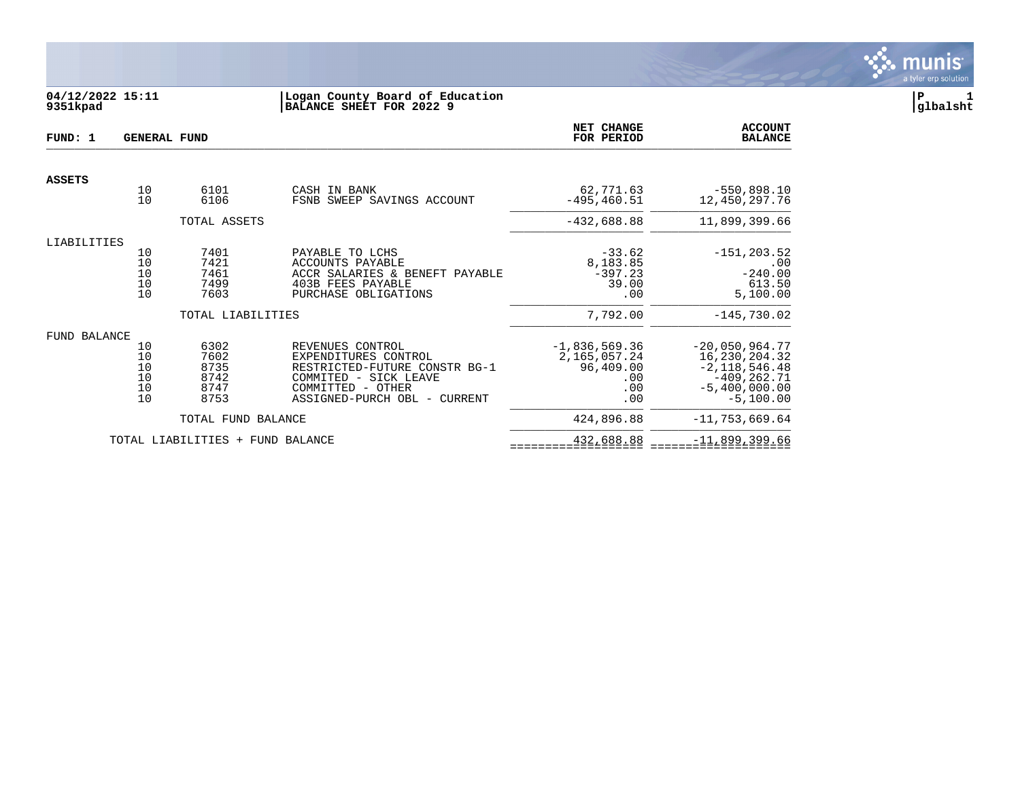

# **04/12/2022 15:11 |Logan County Board of Education |P 1 9351kpad |BALANCE SHEET FOR 2022 9 |glbalsht**

| FUND: 1       |                                  | <b>GENERAL FUND</b>                          |                                                                                                                                                         | <b>NET CHANGE</b><br>FOR PERIOD                                   | <b>ACCOUNT</b><br><b>BALANCE</b>                                                                         |
|---------------|----------------------------------|----------------------------------------------|---------------------------------------------------------------------------------------------------------------------------------------------------------|-------------------------------------------------------------------|----------------------------------------------------------------------------------------------------------|
| <b>ASSETS</b> |                                  |                                              |                                                                                                                                                         |                                                                   |                                                                                                          |
|               | 10<br>10                         | 6101<br>6106                                 | CASH IN BANK<br>FSNB SWEEP SAVINGS ACCOUNT                                                                                                              | 62,771.63<br>$-495, 460.51$                                       | $-550,898.10$<br>12,450,297.76                                                                           |
|               |                                  | TOTAL ASSETS                                 |                                                                                                                                                         | $-432,688.88$                                                     | 11,899,399.66                                                                                            |
| LIABILITIES   | 10<br>10<br>10<br>10<br>10       | 7401<br>7421<br>7461<br>7499<br>7603         | PAYABLE TO LCHS<br><b>ACCOUNTS PAYABLE</b><br>ACCR SALARIES & BENEFT PAYABLE<br>403B FEES PAYABLE<br>PURCHASE OBLIGATIONS                               | $-33.62$<br>8,183.85<br>$-397.23$<br>39.00<br>.00                 | $-151, 203.52$<br>.00<br>$-240.00$<br>613.50<br>5,100.00                                                 |
|               |                                  | TOTAL LIABILITIES                            |                                                                                                                                                         | 7,792.00                                                          | $-145,730.02$                                                                                            |
| FUND BALANCE  | 10<br>10<br>10<br>10<br>10<br>10 | 6302<br>7602<br>8735<br>8742<br>8747<br>8753 | REVENUES CONTROL<br>EXPENDITURES CONTROL<br>RESTRICTED-FUTURE CONSTR BG-1<br>COMMITED - SICK LEAVE<br>COMMITTED - OTHER<br>ASSIGNED-PURCH OBL - CURRENT | $-1,836,569.36$<br>2,165,057.24<br>96,409.00<br>.00<br>.00<br>.00 | $-20,050,964.77$<br>16,230,204.32<br>$-2,118,546.48$<br>$-409, 262.71$<br>$-5,400,000.00$<br>$-5,100.00$ |
|               |                                  | TOTAL FUND BALANCE                           |                                                                                                                                                         | 424,896.88                                                        | $-11,753,669.64$                                                                                         |
|               |                                  | TOTAL LIABILITIES<br>$+$                     | FUND BALANCE                                                                                                                                            | 432,688.88                                                        | $-11,899,399.66$                                                                                         |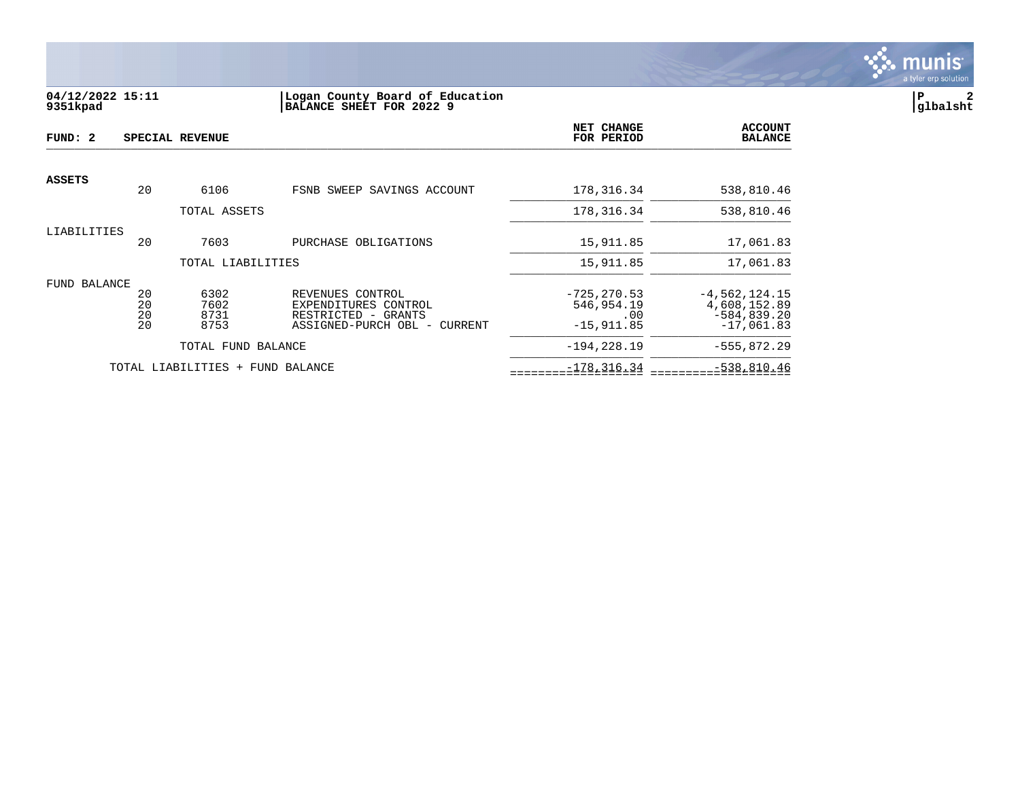

## **04/12/2022 15:11 |Logan County Board of Education |P 2 9351kpad |BALANCE SHEET FOR 2022 9 |glbalsht**

| FUND: 2       |                      | SPECIAL REVENUE                  |                                                                                                 | NET CHANGE<br>FOR PERIOD                            | <b>ACCOUNT</b><br><b>BALANCE</b>                                  |
|---------------|----------------------|----------------------------------|-------------------------------------------------------------------------------------------------|-----------------------------------------------------|-------------------------------------------------------------------|
| <b>ASSETS</b> | 20                   | 6106                             | FSNB SWEEP SAVINGS ACCOUNT                                                                      | 178, 316. 34                                        | 538,810.46                                                        |
|               |                      | TOTAL ASSETS                     |                                                                                                 | 178, 316. 34                                        | 538,810.46                                                        |
| LIABILITIES   | 20                   | 7603                             | PURCHASE OBLIGATIONS                                                                            | 15,911.85                                           | 17,061.83                                                         |
|               |                      | TOTAL LIABILITIES                |                                                                                                 | 15,911.85                                           | 17,061.83                                                         |
| FUND BALANCE  | 20<br>20<br>20<br>20 | 6302<br>7602<br>8731<br>8753     | REVENUES CONTROL<br>EXPENDITURES CONTROL<br>RESTRICTED - GRANTS<br>ASSIGNED-PURCH OBL - CURRENT | $-725, 270.53$<br>546,954.19<br>.00<br>$-15,911.85$ | $-4,562,124.15$<br>4,608,152.89<br>$-584, 839.20$<br>$-17,061.83$ |
|               |                      | TOTAL FUND BALANCE               |                                                                                                 | $-194, 228.19$                                      | $-555,872.29$                                                     |
|               |                      | TOTAL LIABILITIES + FUND BALANCE |                                                                                                 | $-178, 316.34$                                      | $-538,810.46$                                                     |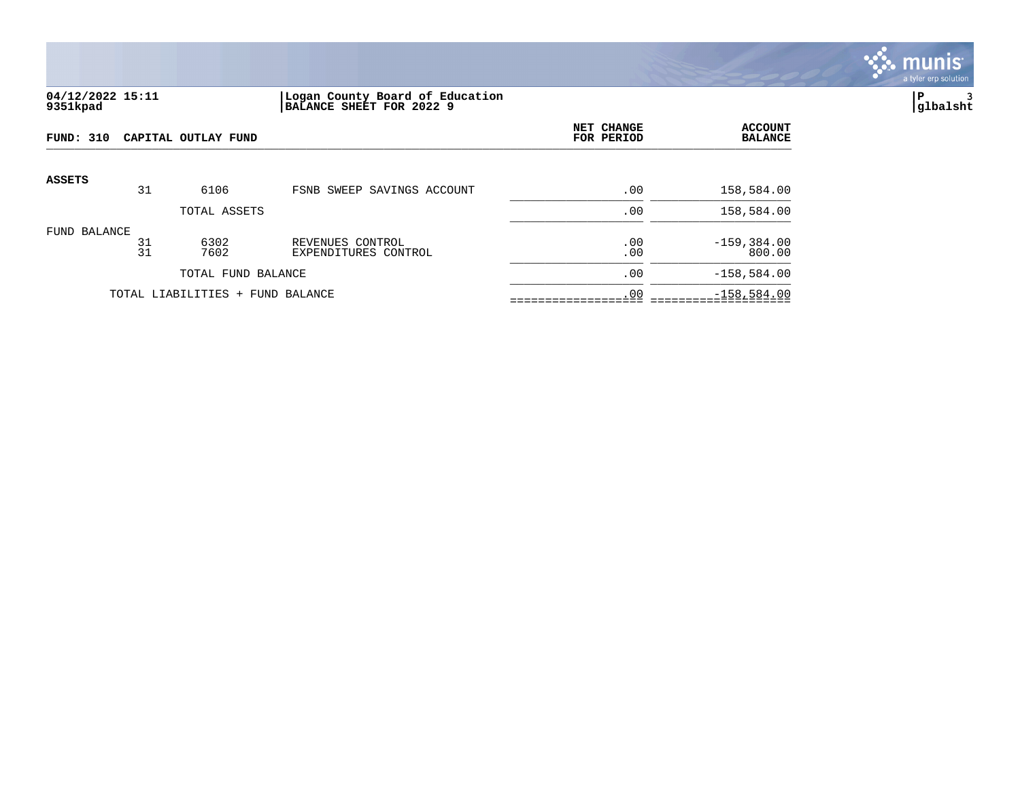

### **04/12/2022 15:11 |Logan County Board of Education |P 3 9351kpad |BALANCE SHEET FOR 2022 9 |glbalsht**

| <b>FUND: 310</b> | CAPITAL OUTLAY FUND |                                  |                                          | NET CHANGE<br>FOR PERIOD | <b>ACCOUNT</b><br><b>BALANCE</b> |
|------------------|---------------------|----------------------------------|------------------------------------------|--------------------------|----------------------------------|
| ASSETS           | 31                  | 6106                             | FSNB SWEEP SAVINGS ACCOUNT               | .00                      | 158,584.00                       |
|                  |                     |                                  |                                          |                          |                                  |
|                  |                     | TOTAL ASSETS                     |                                          | .00                      | 158,584.00                       |
| FUND BALANCE     | 31<br>31            | 6302<br>7602                     | REVENUES CONTROL<br>EXPENDITURES CONTROL | .00<br>.00               | $-159, 384.00$<br>800.00         |
|                  |                     | TOTAL FUND BALANCE               |                                          | .00                      | $-158,584.00$                    |
|                  |                     | TOTAL LIABILITIES + FUND BALANCE |                                          | .00                      | $-158,584.00$                    |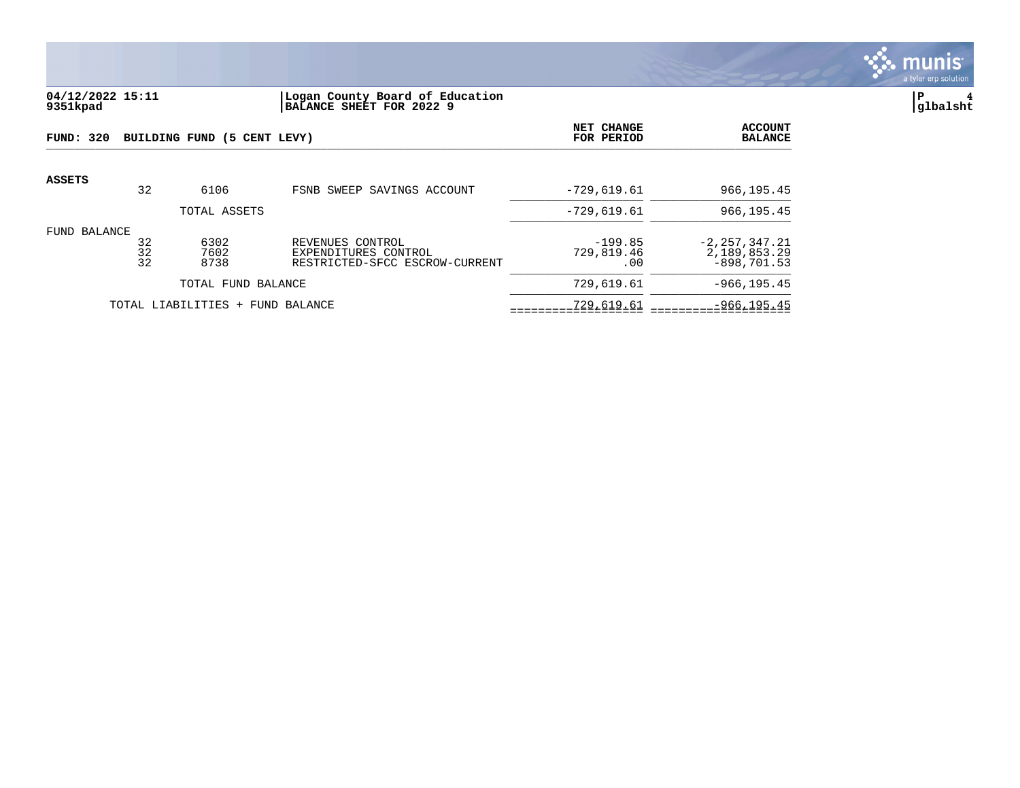

### **04/12/2022 15:11 |Logan County Board of Education |P 4 9351kpad |BALANCE SHEET FOR 2022 9 |glbalsht**

| FUND: 320     |                | BUILDING FUND (5 CENT LEVY)      |                                                                            | NET CHANGE<br>FOR PERIOD       | <b>ACCOUNT</b><br><b>BALANCE</b>                   |
|---------------|----------------|----------------------------------|----------------------------------------------------------------------------|--------------------------------|----------------------------------------------------|
| <b>ASSETS</b> | 32             | 6106                             | FSNB SWEEP SAVINGS ACCOUNT                                                 | $-729,619.61$                  | 966,195.45                                         |
|               |                | TOTAL ASSETS                     |                                                                            | $-729,619.61$                  | 966,195.45                                         |
| FUND BALANCE  | 32<br>32<br>32 | 6302<br>7602<br>8738             | REVENUES CONTROL<br>EXPENDITURES CONTROL<br>RESTRICTED-SFCC ESCROW-CURRENT | $-199.85$<br>729,819.46<br>.00 | $-2, 257, 347.21$<br>2,189,853.29<br>$-898.701.53$ |
|               |                | TOTAL FUND BALANCE               |                                                                            | 729,619.61                     | $-966, 195.45$                                     |
|               |                | TOTAL LIABILITIES + FUND BALANCE | 729,619.61                                                                 | $-966, 195.45$                 |                                                    |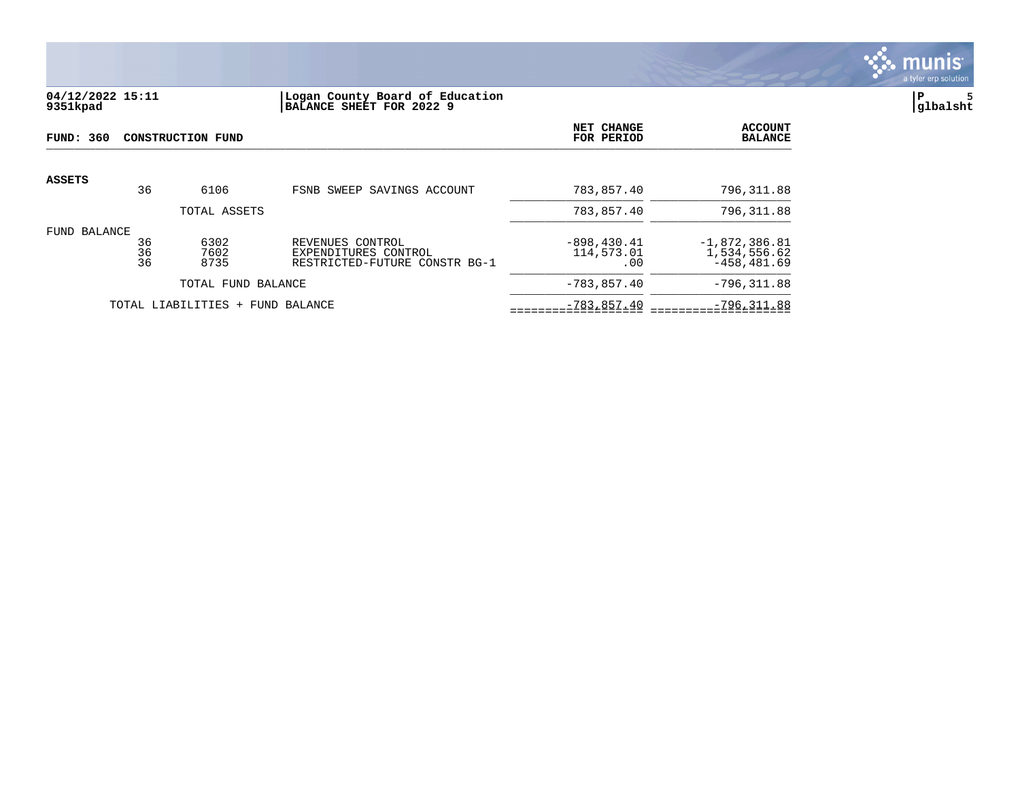

## **04/12/2022 15:11 |Logan County Board of Education |P 5 9351kpad |BALANCE SHEET FOR 2022 9 |glbalsht**

| FUND: 360                                                                                                                           |    | CONSTRUCTION FUND                | NET CHANGE<br>FOR PERIOD            | <b>ACCOUNT</b><br><b>BALANCE</b>                 |                |
|-------------------------------------------------------------------------------------------------------------------------------------|----|----------------------------------|-------------------------------------|--------------------------------------------------|----------------|
| <b>ASSETS</b>                                                                                                                       | 36 | 6106                             | FSNB SWEEP SAVINGS ACCOUNT          | 783,857.40                                       | 796,311.88     |
|                                                                                                                                     |    | TOTAL ASSETS                     |                                     | 783,857.40                                       | 796,311.88     |
| FUND BALANCE<br>6302<br>36<br>REVENUES CONTROL<br>36<br>7602<br>EXPENDITURES CONTROL<br>36<br>8735<br>RESTRICTED-FUTURE CONSTR BG-1 |    |                                  | $-898, 430.41$<br>114,573.01<br>.00 | $-1,872,386.81$<br>1,534,556.62<br>$-458.481.69$ |                |
|                                                                                                                                     |    | TOTAL FUND BALANCE               |                                     | $-783, 857.40$                                   | $-796, 311.88$ |
|                                                                                                                                     |    | TOTAL LIABILITIES + FUND BALANCE | $-783, 857.40$                      | $-796, 311.88$                                   |                |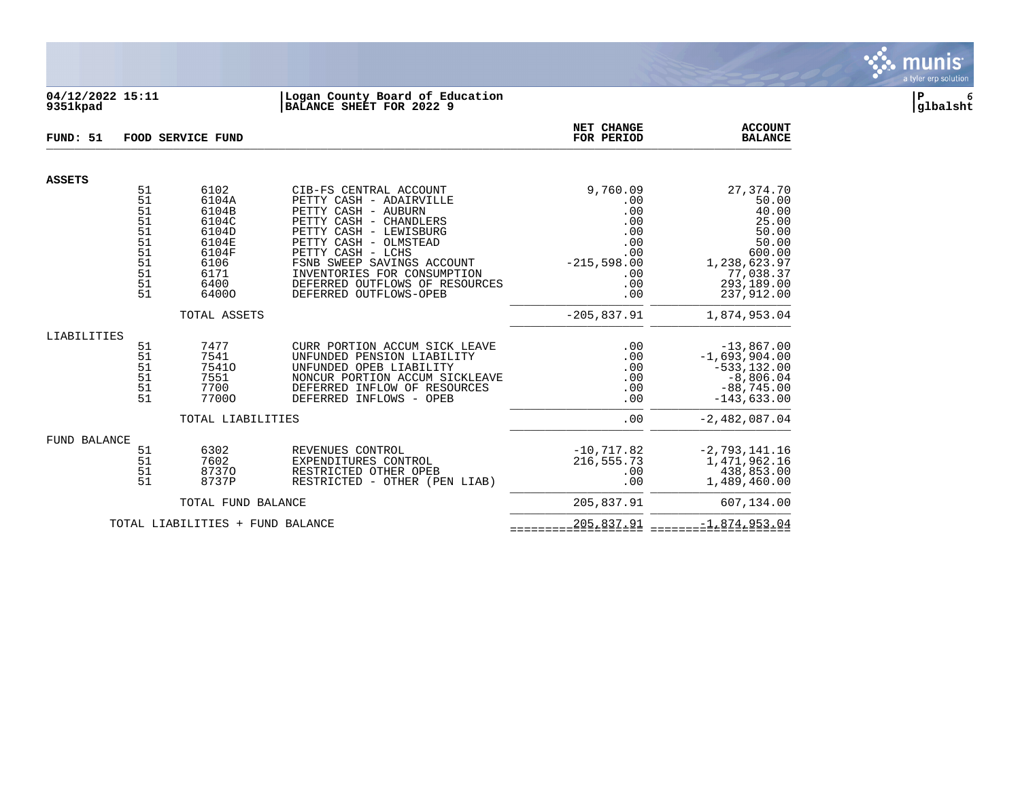

## **04/12/2022 15:11 |Logan County Board of Education |P 6 9351kpad |BALANCE SHEET FOR 2022 9 |glbalsht**

| FUND: 51                         |                                                                | FOOD SERVICE FUND                                                                           | NET CHANGE<br>FOR PERIOD                                                                                                                                                                                                                                                                            | <b>ACCOUNT</b><br><b>BALANCE</b>                                                         |                                                                                                                           |
|----------------------------------|----------------------------------------------------------------|---------------------------------------------------------------------------------------------|-----------------------------------------------------------------------------------------------------------------------------------------------------------------------------------------------------------------------------------------------------------------------------------------------------|------------------------------------------------------------------------------------------|---------------------------------------------------------------------------------------------------------------------------|
| <b>ASSETS</b>                    |                                                                |                                                                                             |                                                                                                                                                                                                                                                                                                     |                                                                                          |                                                                                                                           |
|                                  | 51<br>51<br>51<br>51<br>51<br>51<br>51<br>51<br>51<br>51<br>51 | 6102<br>6104A<br>6104B<br>6104C<br>6104D<br>6104E<br>6104F<br>6106<br>6171<br>6400<br>64000 | CIB-FS CENTRAL ACCOUNT<br>PETTY CASH - ADAIRVILLE<br>PETTY CASH - AUBURN<br>PETTY CASH - CHANDLERS<br>PETTY CASH - LEWISBURG<br>PETTY CASH - OLMSTEAD<br>PETTY CASH - LCHS<br>FSNB SWEEP SAVINGS ACCOUNT<br>INVENTORIES FOR CONSUMPTION<br>DEFERRED OUTFLOWS OF RESOURCES<br>DEFERRED OUTFLOWS-OPEB | 9,760.09<br>.00<br>.00<br>.00<br>.00<br>.00<br>.00<br>$-215,598.00$<br>.00<br>.00<br>.00 | 27,374.70<br>50.00<br>40.00<br>25.00<br>50.00<br>50.00<br>600.00<br>1,238,623.97<br>77,038.37<br>293,189.00<br>237,912.00 |
|                                  |                                                                | TOTAL ASSETS                                                                                |                                                                                                                                                                                                                                                                                                     | $-205, 837.91$                                                                           | 1,874,953.04                                                                                                              |
| LIABILITIES                      | 51<br>51<br>51<br>51<br>51<br>51                               | 7477<br>7541<br>75410<br>7551<br>7700<br>77000                                              | CURR PORTION ACCUM SICK LEAVE<br>UNFUNDED PENSION LIABILITY<br>UNFUNDED OPEB LIABILITY<br>NONCUR PORTION ACCUM SICKLEAVE<br>DEFERRED INFLOW OF RESOURCES<br>DEFERRED INFLOWS - OPEB                                                                                                                 | .00<br>.00<br>.00<br>.00<br>.00<br>.00                                                   | $-13,867.00$<br>$-1,693,904.00$<br>$-533, 132.00$<br>$-8,806.04$<br>$-88,745.00$<br>$-143,633.00$                         |
|                                  |                                                                | TOTAL LIABILITIES                                                                           |                                                                                                                                                                                                                                                                                                     | .00                                                                                      | $-2,482,087.04$                                                                                                           |
| <b>FUND BALANCE</b>              | 51<br>51<br>51<br>51                                           | 6302<br>7602<br>87370<br>8737P                                                              | REVENUES CONTROL<br>EXPENDITURES CONTROL<br>RESTRICTED OTHER OPEB<br>RESTRICTED - OTHER (PEN LIAB)                                                                                                                                                                                                  | $-10,717.82$<br>216,555.73<br>.00<br>.00                                                 | $-2,793,141.16$<br>1,471,962.16<br>438,853.00<br>1,489,460.00                                                             |
|                                  |                                                                | TOTAL FUND BALANCE                                                                          | 205,837.91                                                                                                                                                                                                                                                                                          | 607,134.00                                                                               |                                                                                                                           |
| TOTAL LIABILITIES + FUND BALANCE |                                                                |                                                                                             |                                                                                                                                                                                                                                                                                                     | 205,837.91                                                                               | $-1,874,953.04$                                                                                                           |